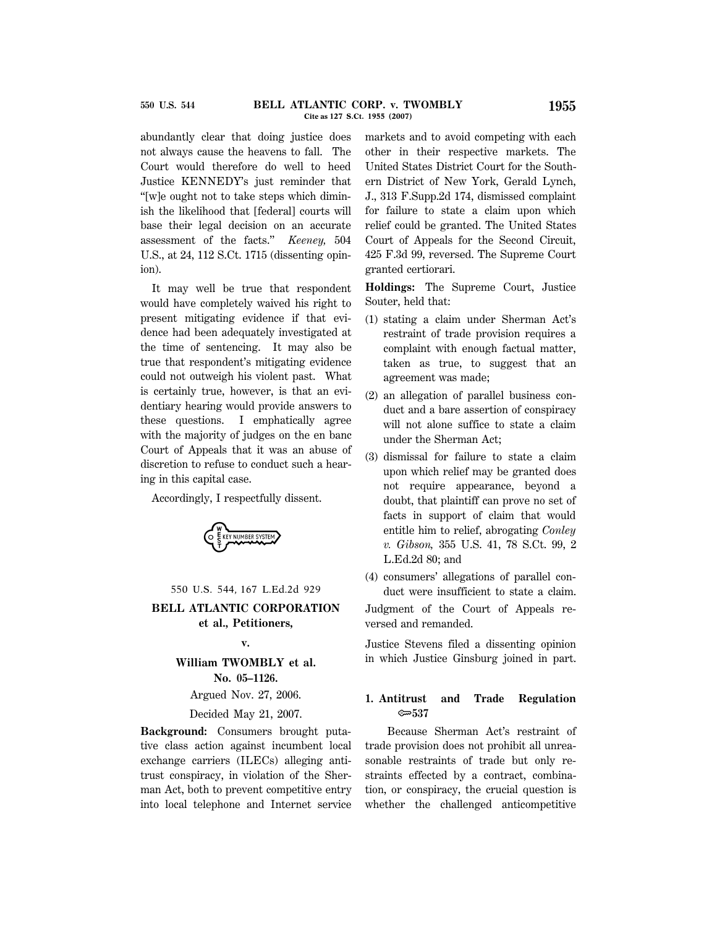abundantly clear that doing justice does not always cause the heavens to fall. The Court would therefore do well to heed Justice KENNEDY's just reminder that ''[w]e ought not to take steps which diminish the likelihood that [federal] courts will base their legal decision on an accurate assessment of the facts.'' *Keeney,* 504 U.S., at 24, 112 S.Ct. 1715 (dissenting opinion).

It may well be true that respondent would have completely waived his right to present mitigating evidence if that evidence had been adequately investigated at the time of sentencing. It may also be true that respondent's mitigating evidence could not outweigh his violent past. What is certainly true, however, is that an evidentiary hearing would provide answers to these questions. I emphatically agree with the majority of judges on the en banc Court of Appeals that it was an abuse of discretion to refuse to conduct such a hearing in this capital case.

Accordingly, I respectfully dissent.



550 U.S. 544, 167 L.Ed.2d 929

## **BELL ATLANTIC CORPORATION et al., Petitioners,**

## **v.**

# **William TWOMBLY et al. No. 05–1126.**

Argued Nov. 27, 2006.

Decided May 21, 2007.

**Background:** Consumers brought putative class action against incumbent local exchange carriers (ILECs) alleging antitrust conspiracy, in violation of the Sherman Act, both to prevent competitive entry into local telephone and Internet service markets and to avoid competing with each other in their respective markets. The United States District Court for the Southern District of New York, Gerald Lynch, J., 313 F.Supp.2d 174, dismissed complaint for failure to state a claim upon which relief could be granted. The United States Court of Appeals for the Second Circuit, 425 F.3d 99, reversed. The Supreme Court granted certiorari.

**Holdings:** The Supreme Court, Justice Souter, held that:

- (1) stating a claim under Sherman Act's restraint of trade provision requires a complaint with enough factual matter, taken as true, to suggest that an agreement was made;
- (2) an allegation of parallel business conduct and a bare assertion of conspiracy will not alone suffice to state a claim under the Sherman Act;
- (3) dismissal for failure to state a claim upon which relief may be granted does not require appearance, beyond a doubt, that plaintiff can prove no set of facts in support of claim that would entitle him to relief, abrogating *Conley v. Gibson,* 355 U.S. 41, 78 S.Ct. 99, 2 L.Ed.2d 80; and
- (4) consumers' allegations of parallel conduct were insufficient to state a claim.

Judgment of the Court of Appeals reversed and remanded.

Justice Stevens filed a dissenting opinion in which Justice Ginsburg joined in part.

## **1. Antitrust and Trade Regulation** O**537**

Because Sherman Act's restraint of trade provision does not prohibit all unreasonable restraints of trade but only restraints effected by a contract, combination, or conspiracy, the crucial question is whether the challenged anticompetitive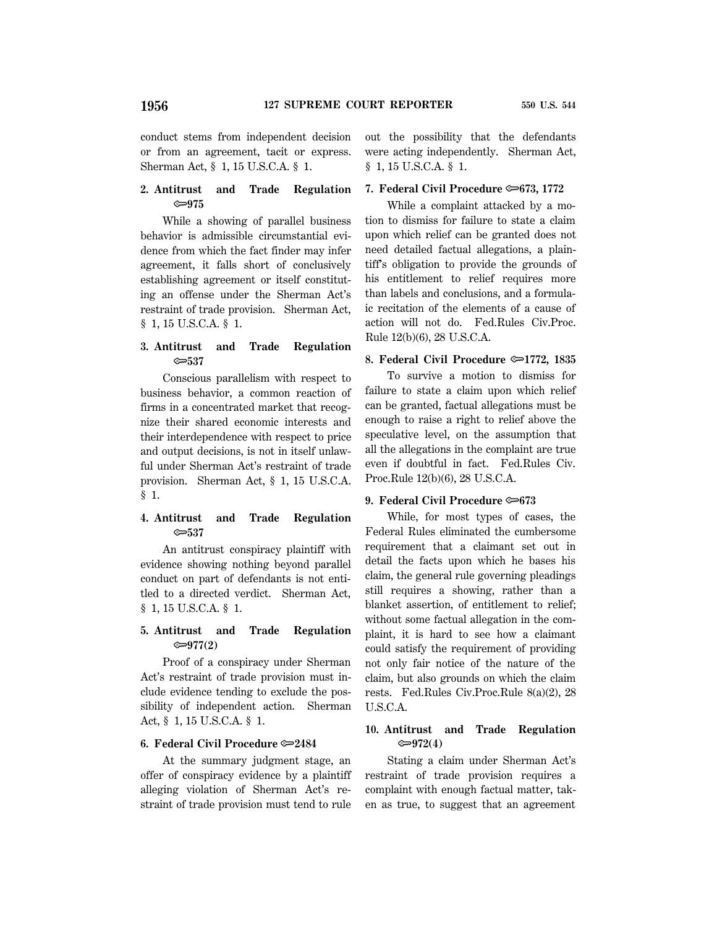## **2. Antitrust and Trade Regulation** O**975**

While a showing of parallel business behavior is admissible circumstantial evidence from which the fact finder may infer agreement, it falls short of conclusively establishing agreement or itself constituting an offense under the Sherman Act's restraint of trade provision. Sherman Act, § 1, 15 U.S.C.A. § 1.

## **3. Antitrust and Trade Regulation** O**537**

Conscious parallelism with respect to business behavior, a common reaction of firms in a concentrated market that recognize their shared economic interests and their interdependence with respect to price and output decisions, is not in itself unlawful under Sherman Act's restraint of trade provision. Sherman Act, § 1, 15 U.S.C.A. § 1.

### **4. Antitrust and Trade Regulation** O**537**

An antitrust conspiracy plaintiff with evidence showing nothing beyond parallel conduct on part of defendants is not entitled to a directed verdict. Sherman Act, § 1, 15 U.S.C.A. § 1.

## **5. Antitrust and Trade Regulation** O**977(2)**

Proof of a conspiracy under Sherman Act's restraint of trade provision must include evidence tending to exclude the possibility of independent action. Sherman Act, § 1, 15 U.S.C.A. § 1.

### **6. Federal Civil Procedure**  $\approx 2484$

At the summary judgment stage, an offer of conspiracy evidence by a plaintiff alleging violation of Sherman Act's restraint of trade provision must tend to rule out the possibility that the defendants were acting independently. Sherman Act, § 1, 15 U.S.C.A. § 1.

#### **7. Federal Civil Procedure**  $\approx 673$ **, 1772**

While a complaint attacked by a motion to dismiss for failure to state a claim upon which relief can be granted does not need detailed factual allegations, a plaintiff's obligation to provide the grounds of his entitlement to relief requires more than labels and conclusions, and a formulaic recitation of the elements of a cause of action will not do. Fed.Rules Civ.Proc. Rule 12(b)(6), 28 U.S.C.A.

### **8. Federal Civil Procedure © 1772, 1835**

To survive a motion to dismiss for failure to state a claim upon which relief can be granted, factual allegations must be enough to raise a right to relief above the speculative level, on the assumption that all the allegations in the complaint are true even if doubtful in fact. Fed.Rules Civ. Proc.Rule 12(b)(6), 28 U.S.C.A.

#### **9. Federal Civil Procedure**  $\approx 673$

While, for most types of cases, the Federal Rules eliminated the cumbersome requirement that a claimant set out in detail the facts upon which he bases his claim, the general rule governing pleadings still requires a showing, rather than a blanket assertion, of entitlement to relief; without some factual allegation in the complaint, it is hard to see how a claimant could satisfy the requirement of providing not only fair notice of the nature of the claim, but also grounds on which the claim rests. Fed.Rules Civ.Proc.Rule 8(a)(2), 28 U.S.C.A.

## **10. Antitrust and Trade Regulation** O**972(4)**

Stating a claim under Sherman Act's restraint of trade provision requires a complaint with enough factual matter, taken as true, to suggest that an agreement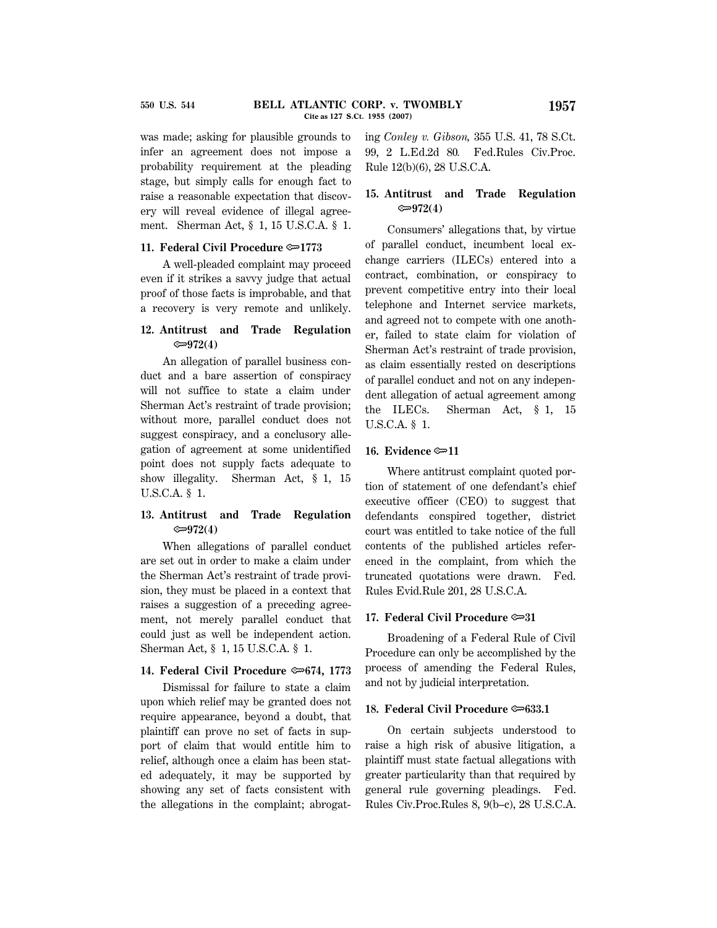was made; asking for plausible grounds to infer an agreement does not impose a probability requirement at the pleading stage, but simply calls for enough fact to raise a reasonable expectation that discovery will reveal evidence of illegal agreement. Sherman Act, § 1, 15 U.S.C.A. § 1.

#### **11. Federal Civil Procedure**  $\approx 1773$

A well-pleaded complaint may proceed even if it strikes a savvy judge that actual proof of those facts is improbable, and that a recovery is very remote and unlikely.

## **12. Antitrust and Trade Regulation** O**972(4)**

An allegation of parallel business conduct and a bare assertion of conspiracy will not suffice to state a claim under Sherman Act's restraint of trade provision; without more, parallel conduct does not suggest conspiracy, and a conclusory allegation of agreement at some unidentified point does not supply facts adequate to show illegality. Sherman Act, § 1, 15 U.S.C.A. § 1.

### **13. Antitrust and Trade Regulation** O**972(4)**

When allegations of parallel conduct are set out in order to make a claim under the Sherman Act's restraint of trade provision, they must be placed in a context that raises a suggestion of a preceding agreement, not merely parallel conduct that could just as well be independent action. Sherman Act, § 1, 15 U.S.C.A. § 1.

#### **14. Federal Civil Procedure**  $\approx 674$ **, 1773**

Dismissal for failure to state a claim upon which relief may be granted does not require appearance, beyond a doubt, that plaintiff can prove no set of facts in support of claim that would entitle him to relief, although once a claim has been stated adequately, it may be supported by showing any set of facts consistent with the allegations in the complaint; abrogating *Conley v. Gibson,* 355 U.S. 41, 78 S.Ct. 99, 2 L.Ed.2d 80*.* Fed.Rules Civ.Proc. Rule 12(b)(6), 28 U.S.C.A.

### **15. Antitrust and Trade Regulation** O**972(4)**

Consumers' allegations that, by virtue of parallel conduct, incumbent local exchange carriers (ILECs) entered into a contract, combination, or conspiracy to prevent competitive entry into their local telephone and Internet service markets, and agreed not to compete with one another, failed to state claim for violation of Sherman Act's restraint of trade provision, as claim essentially rested on descriptions of parallel conduct and not on any independent allegation of actual agreement among the ILECs. Sherman Act, § 1, 15 U.S.C.A. § 1.

#### **16. Evidence** O**11**

Where antitrust complaint quoted portion of statement of one defendant's chief executive officer (CEO) to suggest that defendants conspired together, district court was entitled to take notice of the full contents of the published articles referenced in the complaint, from which the truncated quotations were drawn. Fed. Rules Evid.Rule 201, 28 U.S.C.A.

#### **17. Federal Civil Procedure** O**31**

Broadening of a Federal Rule of Civil Procedure can only be accomplished by the process of amending the Federal Rules, and not by judicial interpretation.

#### **18. Federal Civil Procedure**  $\approx 633.1$

On certain subjects understood to raise a high risk of abusive litigation, a plaintiff must state factual allegations with greater particularity than that required by general rule governing pleadings. Fed. Rules Civ.Proc.Rules 8, 9(b–c), 28 U.S.C.A.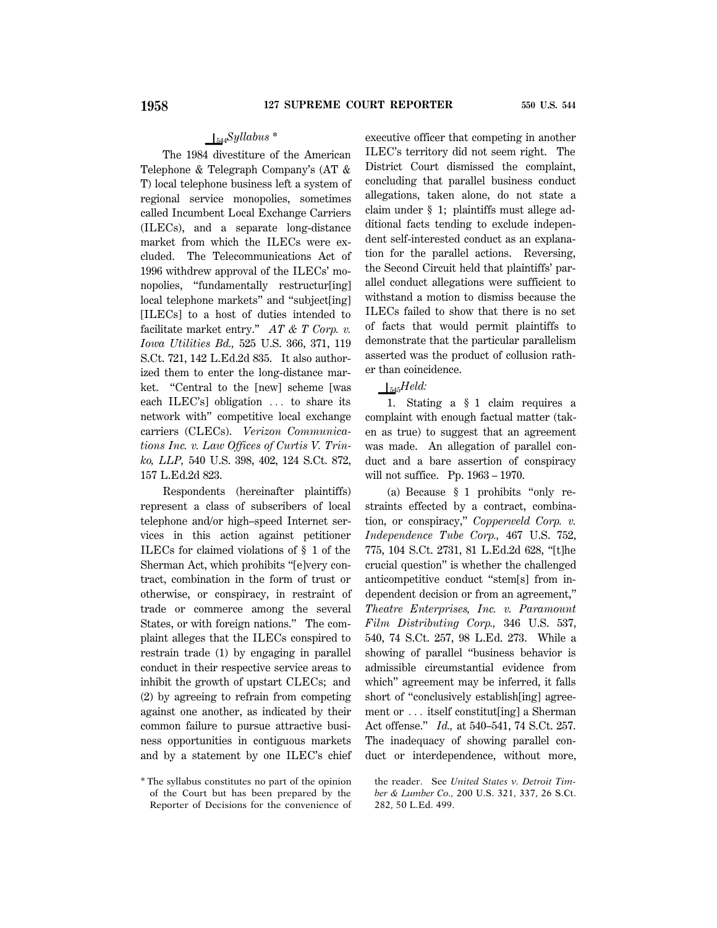## S544*Syllabus \**

The 1984 divestiture of the American Telephone & Telegraph Company's (AT & T) local telephone business left a system of regional service monopolies, sometimes called Incumbent Local Exchange Carriers (ILECs), and a separate long-distance market from which the ILECs were excluded. The Telecommunications Act of 1996 withdrew approval of the ILECs' monopolies, ''fundamentally restructur[ing] local telephone markets'' and ''subject[ing] [ILECs] to a host of duties intended to facilitate market entry.'' *AT & T Corp. v. Iowa Utilities Bd.,* 525 U.S. 366, 371, 119 S.Ct. 721, 142 L.Ed.2d 835. It also authorized them to enter the long-distance market. ''Central to the [new] scheme [was each ILEC's] obligation  $\ldots$  to share its network with'' competitive local exchange carriers (CLECs). *Verizon Communications Inc. v. Law Offices of Curtis V. Trinko, LLP,* 540 U.S. 398, 402, 124 S.Ct. 872, 157 L.Ed.2d 823.

Respondents (hereinafter plaintiffs) represent a class of subscribers of local telephone and/or high–speed Internet services in this action against petitioner ILECs for claimed violations of § 1 of the Sherman Act, which prohibits ''[e]very contract, combination in the form of trust or otherwise, or conspiracy, in restraint of trade or commerce among the several States, or with foreign nations.'' The complaint alleges that the ILECs conspired to restrain trade (1) by engaging in parallel conduct in their respective service areas to inhibit the growth of upstart CLECs; and (2) by agreeing to refrain from competing against one another, as indicated by their common failure to pursue attractive business opportunities in contiguous markets and by a statement by one ILEC's chief

executive officer that competing in another ILEC's territory did not seem right. The District Court dismissed the complaint, concluding that parallel business conduct allegations, taken alone, do not state a claim under § 1; plaintiffs must allege additional facts tending to exclude independent self-interested conduct as an explanation for the parallel actions. Reversing, the Second Circuit held that plaintiffs' parallel conduct allegations were sufficient to withstand a motion to dismiss because the ILECs failed to show that there is no set of facts that would permit plaintiffs to demonstrate that the particular parallelism asserted was the product of collusion rather than coincidence.

## $\Box$ <sub>545</sub>*Held*:

1. Stating a § 1 claim requires a complaint with enough factual matter (taken as true) to suggest that an agreement was made. An allegation of parallel conduct and a bare assertion of conspiracy will not suffice. Pp. 1963 – 1970.

(a) Because § 1 prohibits ''only restraints effected by a contract, combination, or conspiracy,'' *Copperweld Corp. v. Independence Tube Corp.,* 467 U.S. 752, 775, 104 S.Ct. 2731, 81 L.Ed.2d 628, ''[t]he crucial question'' is whether the challenged anticompetitive conduct ''stem[s] from independent decision or from an agreement,'' *Theatre Enterprises, Inc. v. Paramount Film Distributing Corp.,* 346 U.S. 537, 540, 74 S.Ct. 257, 98 L.Ed. 273. While a showing of parallel ''business behavior is admissible circumstantial evidence from which'' agreement may be inferred, it falls short of ''conclusively establish[ing] agreement or  $\ldots$  itself constitut [ing] a Sherman Act offense.'' *Id.,* at 540–541, 74 S.Ct. 257. The inadequacy of showing parallel conduct or interdependence, without more,

the reader. See *United States v. Detroit Timber & Lumber Co.,* 200 U.S. 321, 337, 26 S.Ct. 282, 50 L.Ed. 499.

<sup>\*</sup> The syllabus constitutes no part of the opinion of the Court but has been prepared by the Reporter of Decisions for the convenience of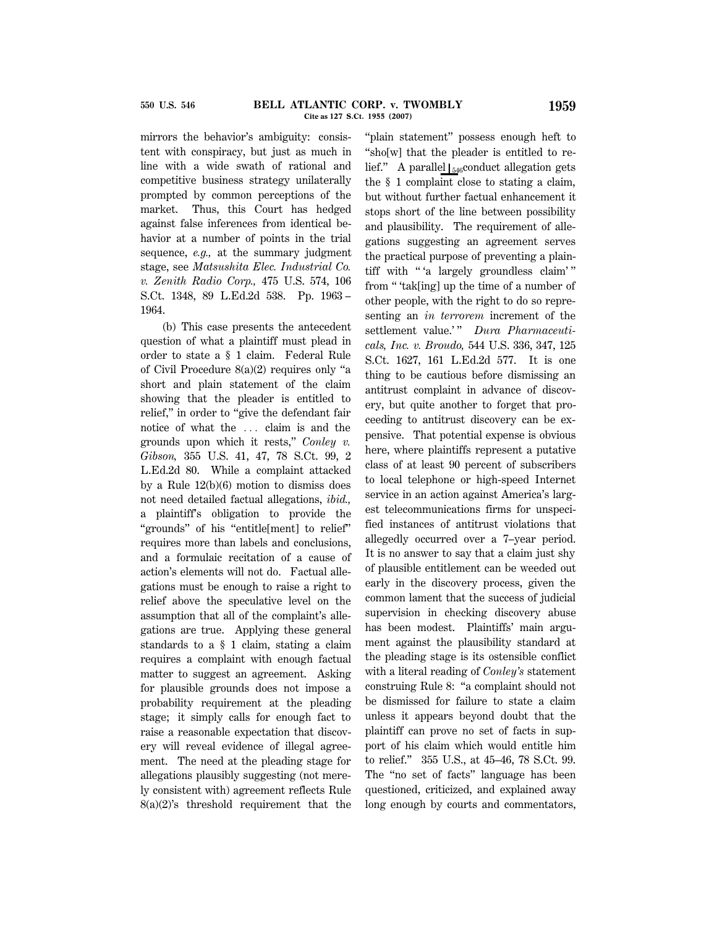mirrors the behavior's ambiguity: consistent with conspiracy, but just as much in line with a wide swath of rational and competitive business strategy unilaterally prompted by common perceptions of the market. Thus, this Court has hedged against false inferences from identical behavior at a number of points in the trial sequence, *e.g.,* at the summary judgment stage, see *Matsushita Elec. Industrial Co. v. Zenith Radio Corp.,* 475 U.S. 574, 106 S.Ct. 1348, 89 L.Ed.2d 538. Pp. 1963 – 1964.

(b) This case presents the antecedent question of what a plaintiff must plead in order to state a § 1 claim. Federal Rule of Civil Procedure 8(a)(2) requires only ''a short and plain statement of the claim showing that the pleader is entitled to relief," in order to "give the defendant fair notice of what the ... claim is and the grounds upon which it rests,'' *Conley v. Gibson,* 355 U.S. 41, 47, 78 S.Ct. 99, 2 L.Ed.2d 80. While a complaint attacked by a Rule 12(b)(6) motion to dismiss does not need detailed factual allegations, *ibid.,* a plaintiff's obligation to provide the ''grounds'' of his ''entitle[ment] to relief'' requires more than labels and conclusions, and a formulaic recitation of a cause of action's elements will not do. Factual allegations must be enough to raise a right to relief above the speculative level on the assumption that all of the complaint's allegations are true. Applying these general standards to a § 1 claim, stating a claim requires a complaint with enough factual matter to suggest an agreement. Asking for plausible grounds does not impose a probability requirement at the pleading stage; it simply calls for enough fact to raise a reasonable expectation that discovery will reveal evidence of illegal agreement. The need at the pleading stage for allegations plausibly suggesting (not merely consistent with) agreement reflects Rule 8(a)(2)'s threshold requirement that the

"plain statement" possess enough heft to ''sho[w] that the pleader is entitled to relief." A parallel  $\frac{1}{546}$ conduct allegation gets the § 1 complaint close to stating a claim, but without further factual enhancement it stops short of the line between possibility and plausibility. The requirement of allegations suggesting an agreement serves the practical purpose of preventing a plaintiff with "'a largely groundless claim'" from '' 'tak[ing] up the time of a number of other people, with the right to do so representing an *in terrorem* increment of the settlement value.'" Dura Pharmaceuti*cals, Inc. v. Broudo,* 544 U.S. 336, 347, 125 S.Ct. 1627, 161 L.Ed.2d 577. It is one thing to be cautious before dismissing an antitrust complaint in advance of discovery, but quite another to forget that proceeding to antitrust discovery can be expensive. That potential expense is obvious here, where plaintiffs represent a putative class of at least 90 percent of subscribers to local telephone or high-speed Internet service in an action against America's largest telecommunications firms for unspecified instances of antitrust violations that allegedly occurred over a 7–year period. It is no answer to say that a claim just shy of plausible entitlement can be weeded out early in the discovery process, given the common lament that the success of judicial supervision in checking discovery abuse has been modest. Plaintiffs' main argument against the plausibility standard at the pleading stage is its ostensible conflict with a literal reading of *Conley's* statement construing Rule 8: ''a complaint should not be dismissed for failure to state a claim unless it appears beyond doubt that the plaintiff can prove no set of facts in support of his claim which would entitle him to relief.'' 355 U.S., at 45–46, 78 S.Ct. 99. The ''no set of facts'' language has been questioned, criticized, and explained away long enough by courts and commentators,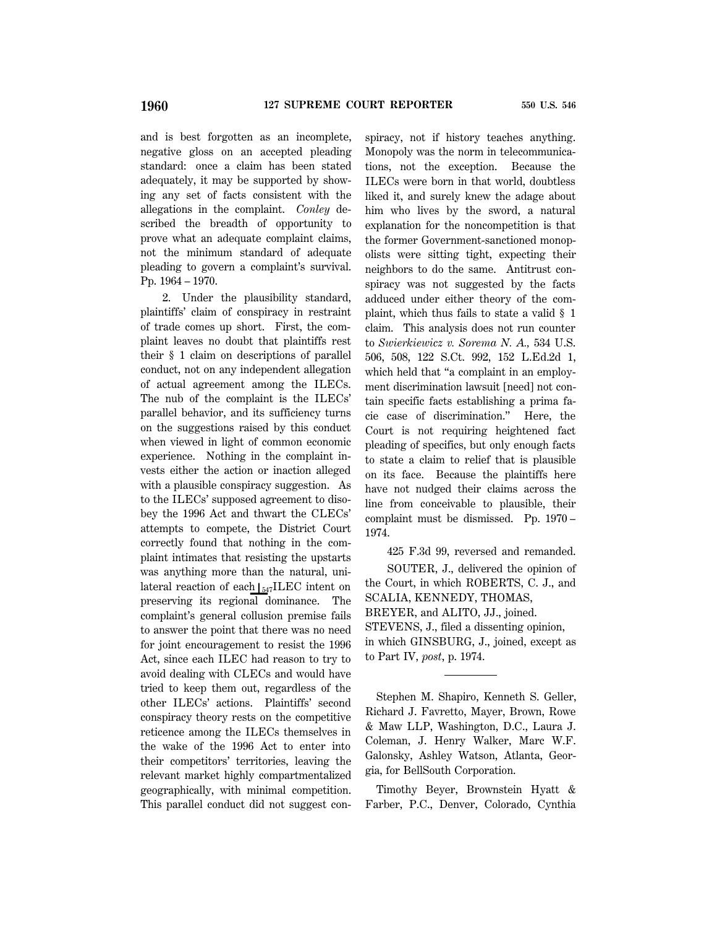and is best forgotten as an incomplete, negative gloss on an accepted pleading standard: once a claim has been stated adequately, it may be supported by showing any set of facts consistent with the allegations in the complaint. *Conley* described the breadth of opportunity to prove what an adequate complaint claims, not the minimum standard of adequate pleading to govern a complaint's survival. Pp. 1964 – 1970.

2. Under the plausibility standard, plaintiffs' claim of conspiracy in restraint of trade comes up short. First, the complaint leaves no doubt that plaintiffs rest their § 1 claim on descriptions of parallel conduct, not on any independent allegation of actual agreement among the ILECs. The nub of the complaint is the ILECs' parallel behavior, and its sufficiency turns on the suggestions raised by this conduct when viewed in light of common economic experience. Nothing in the complaint invests either the action or inaction alleged with a plausible conspiracy suggestion. As to the ILECs' supposed agreement to disobey the 1996 Act and thwart the CLECs' attempts to compete, the District Court correctly found that nothing in the complaint intimates that resisting the upstarts was anything more than the natural, unilateral reaction of each  $\frac{547}{\text{LEC}}$  intent on preserving its regional dominance. The complaint's general collusion premise fails to answer the point that there was no need for joint encouragement to resist the 1996 Act, since each ILEC had reason to try to avoid dealing with CLECs and would have tried to keep them out, regardless of the other ILECs' actions. Plaintiffs' second conspiracy theory rests on the competitive reticence among the ILECs themselves in the wake of the 1996 Act to enter into their competitors' territories, leaving the relevant market highly compartmentalized geographically, with minimal competition. This parallel conduct did not suggest con-

spiracy, not if history teaches anything. Monopoly was the norm in telecommunications, not the exception. Because the ILECs were born in that world, doubtless liked it, and surely knew the adage about him who lives by the sword, a natural explanation for the noncompetition is that the former Government-sanctioned monopolists were sitting tight, expecting their neighbors to do the same. Antitrust conspiracy was not suggested by the facts adduced under either theory of the complaint, which thus fails to state a valid § 1 claim. This analysis does not run counter to *Swierkiewicz v. Sorema N. A.,* 534 U.S. 506, 508, 122 S.Ct. 992, 152 L.Ed.2d 1, which held that "a complaint in an employment discrimination lawsuit [need] not contain specific facts establishing a prima facie case of discrimination.'' Here, the Court is not requiring heightened fact pleading of specifics, but only enough facts to state a claim to relief that is plausible on its face. Because the plaintiffs here have not nudged their claims across the line from conceivable to plausible, their complaint must be dismissed. Pp. 1970 – 1974.

425 F.3d 99, reversed and remanded. SOUTER, J., delivered the opinion of the Court, in which ROBERTS, C. J., and SCALIA, KENNEDY, THOMAS, BREYER, and ALITO, JJ., joined. STEVENS, J., filed a dissenting opinion, in which GINSBURG, J., joined, except as to Part IV, *post*, p. 1974.

Stephen M. Shapiro, Kenneth S. Geller, Richard J. Favretto, Mayer, Brown, Rowe & Maw LLP, Washington, D.C., Laura J. Coleman, J. Henry Walker, Marc W.F. Galonsky, Ashley Watson, Atlanta, Georgia, for BellSouth Corporation.

Timothy Beyer, Brownstein Hyatt & Farber, P.C., Denver, Colorado, Cynthia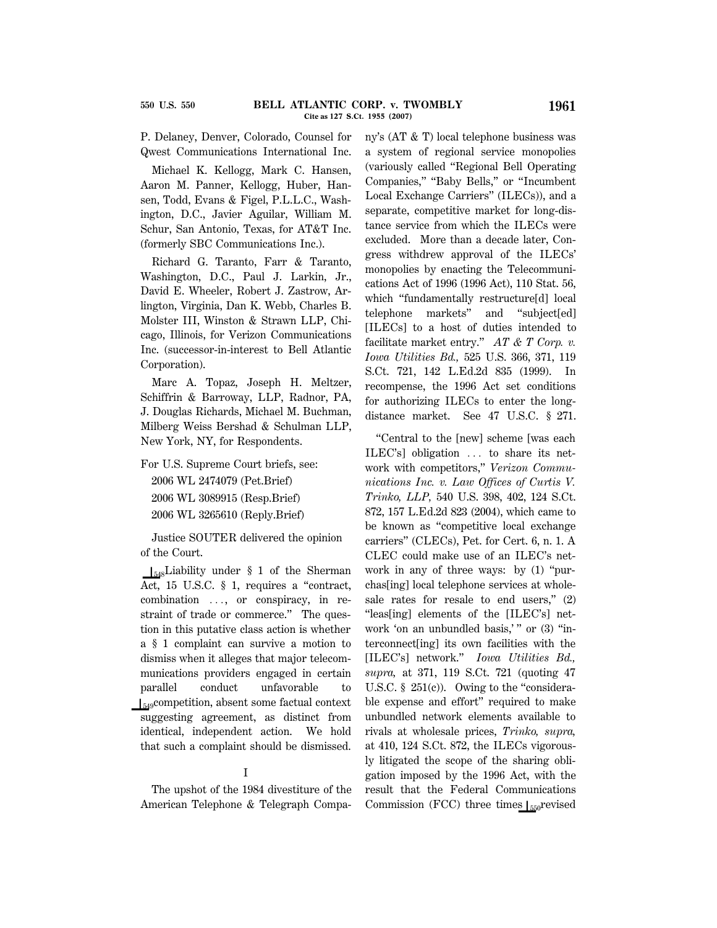P. Delaney, Denver, Colorado, Counsel for Qwest Communications International Inc.

Michael K. Kellogg, Mark C. Hansen, Aaron M. Panner, Kellogg, Huber, Hansen, Todd, Evans & Figel, P.L.L.C., Washington, D.C., Javier Aguilar, William M. Schur, San Antonio, Texas, for AT&T Inc. (formerly SBC Communications Inc.).

Richard G. Taranto, Farr & Taranto, Washington, D.C., Paul J. Larkin, Jr., David E. Wheeler, Robert J. Zastrow, Arlington, Virginia, Dan K. Webb, Charles B. Molster III, Winston & Strawn LLP, Chicago, Illinois, for Verizon Communications Inc. (successor-in-interest to Bell Atlantic Corporation).

Marc A. Topaz, Joseph H. Meltzer, Schiffrin & Barroway, LLP, Radnor, PA, J. Douglas Richards, Michael M. Buchman, Milberg Weiss Bershad & Schulman LLP, New York, NY, for Respondents.

For U.S. Supreme Court briefs, see:

2006 WL 2474079 (Pet.Brief) 2006 WL 3089915 (Resp.Brief) 2006 WL 3265610 (Reply.Brief)

Justice SOUTER delivered the opinion of the Court.

 $\frac{1}{548}$ Liability under § 1 of the Sherman Act, 15 U.S.C. § 1, requires a "contract, combination  $\ldots$ , or conspiracy, in restraint of trade or commerce.'' The question in this putative class action is whether a § 1 complaint can survive a motion to dismiss when it alleges that major telecommunications providers engaged in certain parallel conduct unfavorable to  $\frac{1}{549}$ competition, absent some factual context suggesting agreement, as distinct from identical, independent action. We hold that such a complaint should be dismissed.

#### I

The upshot of the 1984 divestiture of the American Telephone & Telegraph Company's (AT & T) local telephone business was a system of regional service monopolies (variously called ''Regional Bell Operating Companies," "Baby Bells," or "Incumbent Local Exchange Carriers'' (ILECs)), and a separate, competitive market for long-distance service from which the ILECs were excluded. More than a decade later, Congress withdrew approval of the ILECs' monopolies by enacting the Telecommunications Act of 1996 (1996 Act), 110 Stat. 56, which ''fundamentally restructure[d] local telephone markets'' and ''subject[ed] [ILECs] to a host of duties intended to facilitate market entry.'' *AT & T Corp. v. Iowa Utilities Bd.,* 525 U.S. 366, 371, 119 S.Ct. 721, 142 L.Ed.2d 835 (1999). In recompense, the 1996 Act set conditions for authorizing ILECs to enter the longdistance market. See 47 U.S.C. § 271.

''Central to the [new] scheme [was each ILEC's] obligation  $\ldots$  to share its network with competitors,'' *Verizon Communications Inc. v. Law Offices of Curtis V. Trinko, LLP,* 540 U.S. 398, 402, 124 S.Ct. 872, 157 L.Ed.2d 823 (2004), which came to be known as ''competitive local exchange carriers'' (CLECs), Pet. for Cert. 6, n. 1. A CLEC could make use of an ILEC's network in any of three ways: by (1) "purchas[ing] local telephone services at wholesale rates for resale to end users," (2) ''leas[ing] elements of the [ILEC's] network 'on an unbundled basis,' " or (3) "interconnect[ing] its own facilities with the [ILEC's] network.'' *Iowa Utilities Bd., supra,* at 371, 119 S.Ct. 721 (quoting 47 U.S.C.  $\S$  251(c)). Owing to the "considerable expense and effort'' required to make unbundled network elements available to rivals at wholesale prices, *Trinko, supra,* at 410, 124 S.Ct. 872, the ILECs vigorously litigated the scope of the sharing obligation imposed by the 1996 Act, with the result that the Federal Communications Commission (FCC) three times  $\int_{550}$ revised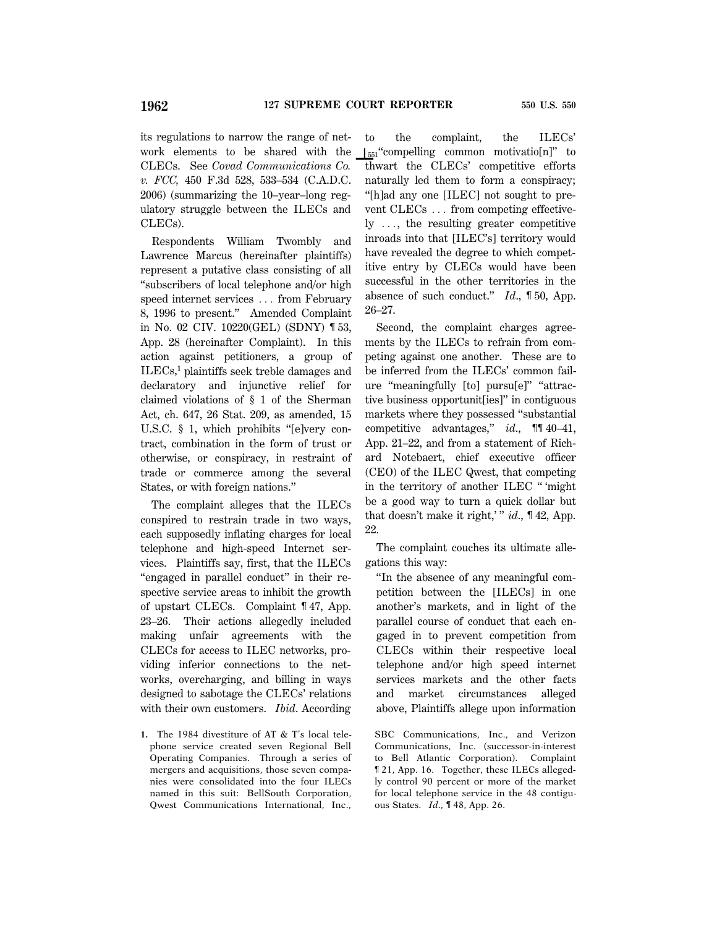its regulations to narrow the range of network elements to be shared with the CLECs. See *Covad Communications Co. v. FCC,* 450 F.3d 528, 533–534 (C.A.D.C. 2006) (summarizing the 10–year–long regulatory struggle between the ILECs and CLECs).

Respondents William Twombly and Lawrence Marcus (hereinafter plaintiffs) represent a putative class consisting of all ''subscribers of local telephone and/or high speed internet services ... from February 8, 1996 to present.'' Amended Complaint in No. 02 CIV. 10220(GEL) (SDNY) ¶ 53, App. 28 (hereinafter Complaint). In this action against petitioners, a group of ILECs,**<sup>1</sup>** plaintiffs seek treble damages and declaratory and injunctive relief for claimed violations of § 1 of the Sherman Act, ch. 647, 26 Stat. 209, as amended, 15 U.S.C. § 1, which prohibits "[e]very contract, combination in the form of trust or otherwise, or conspiracy, in restraint of trade or commerce among the several States, or with foreign nations.''

The complaint alleges that the ILECs conspired to restrain trade in two ways, each supposedly inflating charges for local telephone and high-speed Internet services. Plaintiffs say, first, that the ILECs ''engaged in parallel conduct'' in their respective service areas to inhibit the growth of upstart CLECs. Complaint ¶ 47, App. 23–26. Their actions allegedly included making unfair agreements with the CLECs for access to ILEC networks, providing inferior connections to the networks, overcharging, and billing in ways designed to sabotage the CLECs' relations with their own customers. *Ibid*. According

**1.** The 1984 divestiture of AT & T's local telephone service created seven Regional Bell Operating Companies. Through a series of mergers and acquisitions, those seven companies were consolidated into the four ILECs named in this suit: BellSouth Corporation, Qwest Communications International, Inc.,

to the complaint, the ILECs'  $\left\vert \right\vert_{551}$ "compelling common motivatio[n]" to thwart the CLECs' competitive efforts naturally led them to form a conspiracy; ''[h]ad any one [ILEC] not sought to prevent  $CLECs$ ... from competing effective $ly$   $\dots$ , the resulting greater competitive inroads into that [ILEC's] territory would have revealed the degree to which competitive entry by CLECs would have been successful in the other territories in the absence of such conduct.'' *Id*., ¶ 50, App. 26–27.

Second, the complaint charges agreements by the ILECs to refrain from competing against one another. These are to be inferred from the ILECs' common failure ''meaningfully [to] pursu[e]'' ''attractive business opportunit[ies]'' in contiguous markets where they possessed ''substantial competitive advantages,'' *id*., ¶¶ 40–41, App. 21–22, and from a statement of Richard Notebaert, chief executive officer (CEO) of the ILEC Qwest, that competing in the territory of another ILEC '' 'might be a good way to turn a quick dollar but that doesn't make it right,' '' *id*., ¶ 42, App. 22.

The complaint couches its ultimate allegations this way:

''In the absence of any meaningful competition between the [ILECs] in one another's markets, and in light of the parallel course of conduct that each engaged in to prevent competition from CLECs within their respective local telephone and/or high speed internet services markets and the other facts and market circumstances alleged above, Plaintiffs allege upon information

SBC Communications, Inc., and Verizon Communications, Inc. (successor-in-interest to Bell Atlantic Corporation). Complaint ¶ 21, App. 16. Together, these ILECs allegedly control 90 percent or more of the market for local telephone service in the 48 contiguous States. *Id*., ¶ 48, App. 26.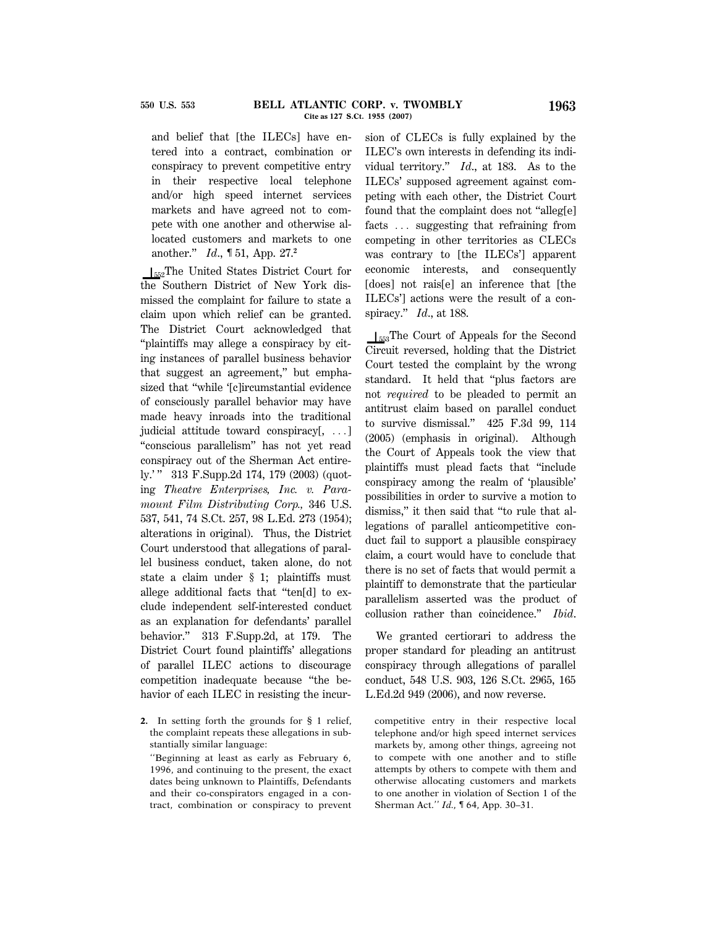and belief that [the ILECs] have entered into a contract, combination or conspiracy to prevent competitive entry in their respective local telephone and/or high speed internet services markets and have agreed not to compete with one another and otherwise allocated customers and markets to one another.'' *Id*., ¶ 51, App. 27.**<sup>2</sup>**

 $I_{552}$ The United States District Court for the Southern District of New York dismissed the complaint for failure to state a claim upon which relief can be granted. The District Court acknowledged that ''plaintiffs may allege a conspiracy by citing instances of parallel business behavior that suggest an agreement,'' but emphasized that ''while '[c]ircumstantial evidence of consciously parallel behavior may have made heavy inroads into the traditional judicial attitude toward conspiracy $[$ , ...] ''conscious parallelism'' has not yet read conspiracy out of the Sherman Act entirely.' '' 313 F.Supp.2d 174, 179 (2003) (quoting *Theatre Enterprises, Inc. v. Paramount Film Distributing Corp.,* 346 U.S. 537, 541, 74 S.Ct. 257, 98 L.Ed. 273 (1954); alterations in original). Thus, the District Court understood that allegations of parallel business conduct, taken alone, do not state a claim under § 1; plaintiffs must allege additional facts that ''ten[d] to exclude independent self-interested conduct as an explanation for defendants' parallel behavior.'' 313 F.Supp.2d, at 179. The District Court found plaintiffs' allegations of parallel ILEC actions to discourage competition inadequate because ''the behavior of each ILEC in resisting the incur-

''Beginning at least as early as February 6, 1996, and continuing to the present, the exact dates being unknown to Plaintiffs, Defendants and their co-conspirators engaged in a contract, combination or conspiracy to prevent

sion of CLECs is fully explained by the ILEC's own interests in defending its individual territory.'' *Id*., at 183. As to the ILECs' supposed agreement against competing with each other, the District Court found that the complaint does not ''alleg[e] facts  $\ldots$  suggesting that refraining from competing in other territories as CLECs was contrary to [the ILECs'] apparent economic interests, and consequently [does] not rais[e] an inference that [the ILECs'] actions were the result of a conspiracy.'' *Id*., at 188.

 $\frac{1}{553}$ The Court of Appeals for the Second Circuit reversed, holding that the District Court tested the complaint by the wrong standard. It held that ''plus factors are not *required* to be pleaded to permit an antitrust claim based on parallel conduct to survive dismissal.'' 425 F.3d 99, 114 (2005) (emphasis in original). Although the Court of Appeals took the view that plaintiffs must plead facts that ''include conspiracy among the realm of 'plausible' possibilities in order to survive a motion to dismiss,'' it then said that ''to rule that allegations of parallel anticompetitive conduct fail to support a plausible conspiracy claim, a court would have to conclude that there is no set of facts that would permit a plaintiff to demonstrate that the particular parallelism asserted was the product of collusion rather than coincidence.'' *Ibid*.

We granted certiorari to address the proper standard for pleading an antitrust conspiracy through allegations of parallel conduct, 548 U.S. 903, 126 S.Ct. 2965, 165 L.Ed.2d 949 (2006), and now reverse.

competitive entry in their respective local telephone and/or high speed internet services markets by, among other things, agreeing not to compete with one another and to stifle attempts by others to compete with them and otherwise allocating customers and markets to one another in violation of Section 1 of the Sherman Act.'' *Id.,* ¶ 64, App. 30–31.

**<sup>2.</sup>** In setting forth the grounds for § 1 relief, the complaint repeats these allegations in substantially similar language: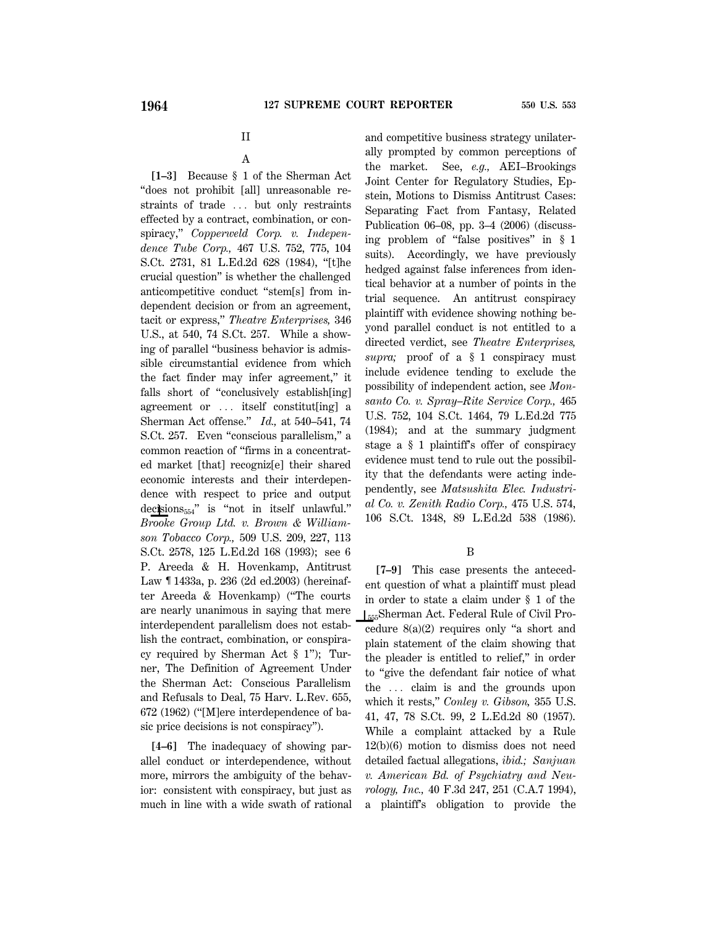## II

### A

**[1–3]** Because § 1 of the Sherman Act ''does not prohibit [all] unreasonable restraints of trade ... but only restraints effected by a contract, combination, or conspiracy,'' *Copperweld Corp. v. Independence Tube Corp.,* 467 U.S. 752, 775, 104 S.Ct. 2731, 81 L.Ed.2d 628 (1984), ''[t]he crucial question'' is whether the challenged anticompetitive conduct ''stem[s] from independent decision or from an agreement, tacit or express,'' *Theatre Enterprises,* 346 U.S., at 540, 74 S.Ct. 257. While a showing of parallel ''business behavior is admissible circumstantial evidence from which the fact finder may infer agreement,'' it falls short of ''conclusively establish[ing] agreement or  $\ldots$  itself constitut[ing] a Sherman Act offense.'' *Id.,* at 540–541, 74 S.Ct. 257. Even ''conscious parallelism,'' a common reaction of ''firms in a concentrated market [that] recogniz[e] their shared economic interests and their interdependence with respect to price and output decisions<sub>554</sub>" is "not in itself unlawful." *Brooke Group Ltd. v. Brown & Williamson Tobacco Corp.,* 509 U.S. 209, 227, 113 S.Ct. 2578, 125 L.Ed.2d 168 (1993); see 6 P. Areeda & H. Hovenkamp, Antitrust Law ¶ 1433a, p. 236 (2d ed.2003) (hereinafter Areeda & Hovenkamp) (''The courts are nearly unanimous in saying that mere interdependent parallelism does not establish the contract, combination, or conspiracy required by Sherman Act § 1''); Turner, The Definition of Agreement Under the Sherman Act: Conscious Parallelism and Refusals to Deal, 75 Harv. L.Rev. 655, 672 (1962) (''[M]ere interdependence of basic price decisions is not conspiracy'').

**[4–6]** The inadequacy of showing parallel conduct or interdependence, without more, mirrors the ambiguity of the behavior: consistent with conspiracy, but just as much in line with a wide swath of rational and competitive business strategy unilaterally prompted by common perceptions of the market. See, *e.g.,* AEI–Brookings Joint Center for Regulatory Studies, Epstein, Motions to Dismiss Antitrust Cases: Separating Fact from Fantasy, Related Publication 06–08, pp. 3–4 (2006) (discussing problem of ''false positives'' in § 1 suits). Accordingly, we have previously hedged against false inferences from identical behavior at a number of points in the trial sequence. An antitrust conspiracy plaintiff with evidence showing nothing beyond parallel conduct is not entitled to a directed verdict, see *Theatre Enterprises, supra;* proof of a § 1 conspiracy must include evidence tending to exclude the possibility of independent action, see *Monsanto Co. v. Spray–Rite Service Corp.,* 465 U.S. 752, 104 S.Ct. 1464, 79 L.Ed.2d 775 (1984); and at the summary judgment stage a § 1 plaintiff's offer of conspiracy evidence must tend to rule out the possibility that the defendants were acting independently, see *Matsushita Elec. Industrial Co. v. Zenith Radio Corp.,* 475 U.S. 574, 106 S.Ct. 1348, 89 L.Ed.2d 538 (1986).

#### B

**[7–9]** This case presents the antecedent question of what a plaintiff must plead in order to state a claim under § 1 of the S555Sherman Act. Federal Rule of Civil Procedure 8(a)(2) requires only ''a short and plain statement of the claim showing that the pleader is entitled to relief,'' in order to ''give the defendant fair notice of what the  $\ldots$  claim is and the grounds upon which it rests,'' *Conley v. Gibson,* 355 U.S. 41, 47, 78 S.Ct. 99, 2 L.Ed.2d 80 (1957). While a complaint attacked by a Rule 12(b)(6) motion to dismiss does not need detailed factual allegations, *ibid.; Sanjuan v. American Bd. of Psychiatry and Neurology, Inc.,* 40 F.3d 247, 251 (C.A.7 1994), a plaintiff's obligation to provide the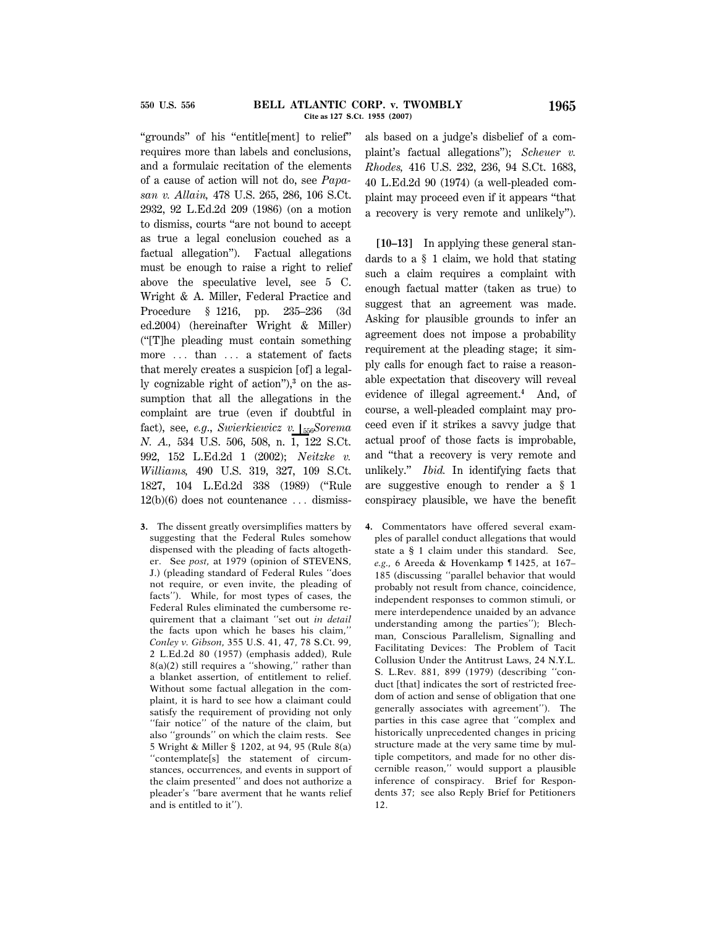''grounds'' of his ''entitle[ment] to relief'' requires more than labels and conclusions, and a formulaic recitation of the elements of a cause of action will not do, see *Papasan v. Allain,* 478 U.S. 265, 286, 106 S.Ct. 2932, 92 L.Ed.2d 209 (1986) (on a motion to dismiss, courts ''are not bound to accept as true a legal conclusion couched as a factual allegation''). Factual allegations must be enough to raise a right to relief above the speculative level, see 5 C. Wright & A. Miller, Federal Practice and Procedure § 1216, pp. 235–236 (3d ed.2004) (hereinafter Wright & Miller) (''[T]he pleading must contain something more ... than ... a statement of facts that merely creates a suspicion [of] a legally cognizable right of action''),**<sup>3</sup>** on the assumption that all the allegations in the complaint are true (even if doubtful in fact), see, *e.g.*, *Swierkiewicz v.* [<sub>556</sub>*Sorema N. A.,* 534 U.S. 506, 508, n. 1, 122 S.Ct. 992, 152 L.Ed.2d 1 (2002); *Neitzke v. Williams,* 490 U.S. 319, 327, 109 S.Ct. 1827, 104 L.Ed.2d 338 (1989) (''Rule  $12(b)(6)$  does not countenance  $\ldots$  dismiss-

**3.** The dissent greatly oversimplifies matters by suggesting that the Federal Rules somehow dispensed with the pleading of facts altogether. See *post,* at 1979 (opinion of STEVENS, J.) (pleading standard of Federal Rules ''does not require, or even invite, the pleading of facts''). While, for most types of cases, the Federal Rules eliminated the cumbersome requirement that a claimant ''set out *in detail* the facts upon which he bases his claim,'' *Conley v. Gibson,* 355 U.S. 41, 47, 78 S.Ct. 99, 2 L.Ed.2d 80 (1957) (emphasis added), Rule  $8(a)(2)$  still requires a "showing," rather than a blanket assertion, of entitlement to relief. Without some factual allegation in the complaint, it is hard to see how a claimant could satisfy the requirement of providing not only ''fair notice'' of the nature of the claim, but also ''grounds'' on which the claim rests. See 5 Wright & Miller § 1202, at 94, 95 (Rule 8(a) ''contemplate[s] the statement of circumstances, occurrences, and events in support of the claim presented'' and does not authorize a pleader's ''bare averment that he wants relief and is entitled to it'').

als based on a judge's disbelief of a complaint's factual allegations''); *Scheuer v. Rhodes,* 416 U.S. 232, 236, 94 S.Ct. 1683, 40 L.Ed.2d 90 (1974) (a well-pleaded complaint may proceed even if it appears ''that a recovery is very remote and unlikely'').

**[10–13]** In applying these general standards to a § 1 claim, we hold that stating such a claim requires a complaint with enough factual matter (taken as true) to suggest that an agreement was made. Asking for plausible grounds to infer an agreement does not impose a probability requirement at the pleading stage; it simply calls for enough fact to raise a reasonable expectation that discovery will reveal evidence of illegal agreement.**<sup>4</sup>** And, of course, a well-pleaded complaint may proceed even if it strikes a savvy judge that actual proof of those facts is improbable, and ''that a recovery is very remote and unlikely.'' *Ibid.* In identifying facts that are suggestive enough to render a § 1 conspiracy plausible, we have the benefit

**4.** Commentators have offered several examples of parallel conduct allegations that would state a § 1 claim under this standard. See, *e.g.,* 6 Areeda & Hovenkamp ¶ 1425, at 167– 185 (discussing ''parallel behavior that would probably not result from chance, coincidence, independent responses to common stimuli, or mere interdependence unaided by an advance understanding among the parties''); Blechman, Conscious Parallelism, Signalling and Facilitating Devices: The Problem of Tacit Collusion Under the Antitrust Laws, 24 N.Y.L. S. L.Rev. 881, 899 (1979) (describing ''conduct [that] indicates the sort of restricted freedom of action and sense of obligation that one generally associates with agreement''). The parties in this case agree that ''complex and historically unprecedented changes in pricing structure made at the very same time by multiple competitors, and made for no other discernible reason,'' would support a plausible inference of conspiracy. Brief for Respondents 37; see also Reply Brief for Petitioners 12.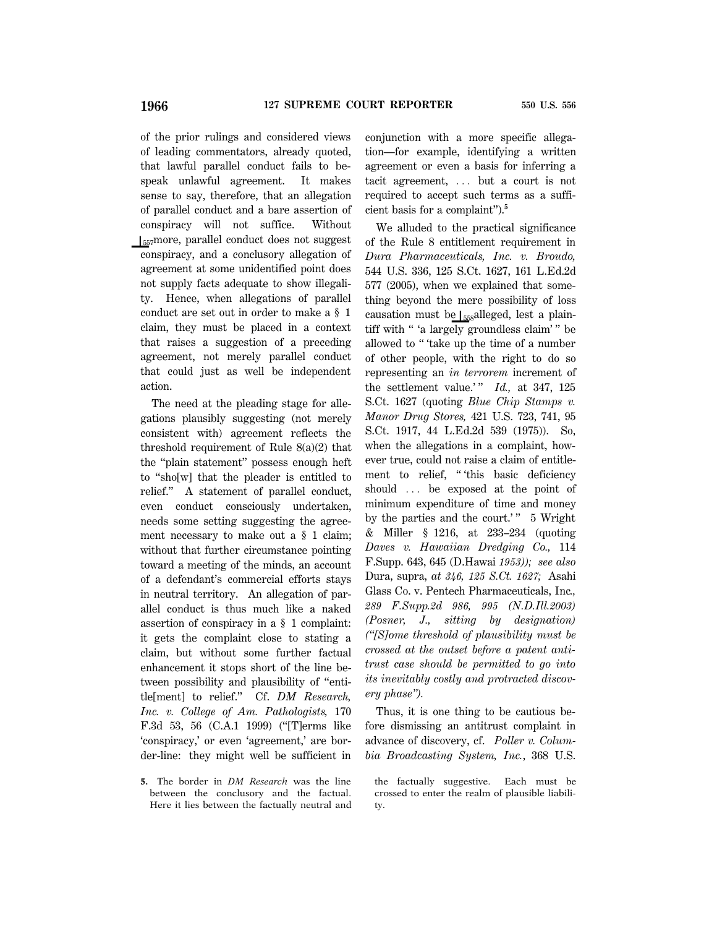of the prior rulings and considered views of leading commentators, already quoted, that lawful parallel conduct fails to bespeak unlawful agreement. It makes sense to say, therefore, that an allegation of parallel conduct and a bare assertion of conspiracy will not suffice. Without  $\left| \right|$ <sub>557</sub>more, parallel conduct does not suggest conspiracy, and a conclusory allegation of agreement at some unidentified point does not supply facts adequate to show illegality. Hence, when allegations of parallel conduct are set out in order to make a § 1 claim, they must be placed in a context that raises a suggestion of a preceding agreement, not merely parallel conduct that could just as well be independent action.

The need at the pleading stage for allegations plausibly suggesting (not merely consistent with) agreement reflects the threshold requirement of Rule 8(a)(2) that the ''plain statement'' possess enough heft to ''sho[w] that the pleader is entitled to relief.'' A statement of parallel conduct, even conduct consciously undertaken, needs some setting suggesting the agreement necessary to make out a § 1 claim; without that further circumstance pointing toward a meeting of the minds, an account of a defendant's commercial efforts stays in neutral territory. An allegation of parallel conduct is thus much like a naked assertion of conspiracy in a § 1 complaint: it gets the complaint close to stating a claim, but without some further factual enhancement it stops short of the line between possibility and plausibility of ''entitle[ment] to relief.'' Cf. *DM Research, Inc. v. College of Am. Pathologists,* 170 F.3d 53, 56 (C.A.1 1999) (''[T]erms like 'conspiracy,' or even 'agreement,' are border-line: they might well be sufficient in

**5.** The border in *DM Research* was the line between the conclusory and the factual. Here it lies between the factually neutral and conjunction with a more specific allegation—for example, identifying a written agreement or even a basis for inferring a tacit agreement,  $\ldots$  but a court is not required to accept such terms as a sufficient basis for a complaint'').**<sup>5</sup>**

We alluded to the practical significance of the Rule 8 entitlement requirement in *Dura Pharmaceuticals, Inc. v. Broudo,* 544 U.S. 336, 125 S.Ct. 1627, 161 L.Ed.2d 577 (2005), when we explained that something beyond the mere possibility of loss causation must be  $\frac{1}{558}$ alleged, lest a plaintiff with '' 'a largely groundless claim' '' be allowed to '' 'take up the time of a number of other people, with the right to do so representing an *in terrorem* increment of the settlement value.'" *Id.*, at 347, 125 S.Ct. 1627 (quoting *Blue Chip Stamps v. Manor Drug Stores,* 421 U.S. 723, 741, 95 S.Ct. 1917, 44 L.Ed.2d 539 (1975)). So, when the allegations in a complaint, however true, could not raise a claim of entitlement to relief, "this basic deficiency should ... be exposed at the point of minimum expenditure of time and money by the parties and the court.'" 5 Wright & Miller § 1216, at 233–234 (quoting *Daves v. Hawaiian Dredging Co.,* 114 F.Supp. 643, 645 (D.Hawai *1953)); see also* Dura, supra, *at 346, 125 S.Ct. 1627;* Asahi Glass Co. v. Pentech Pharmaceuticals, Inc*., 289 F.Supp.2d 986, 995 (N.D.Ill.2003) (Posner, J., sitting by designation) (''[S]ome threshold of plausibility must be crossed at the outset before a patent antitrust case should be permitted to go into its inevitably costly and protracted discovery phase'').*

Thus, it is one thing to be cautious before dismissing an antitrust complaint in advance of discovery, cf. *Poller v. Columbia Broadcasting System, Inc.*, 368 U.S.

the factually suggestive. Each must be crossed to enter the realm of plausible liability.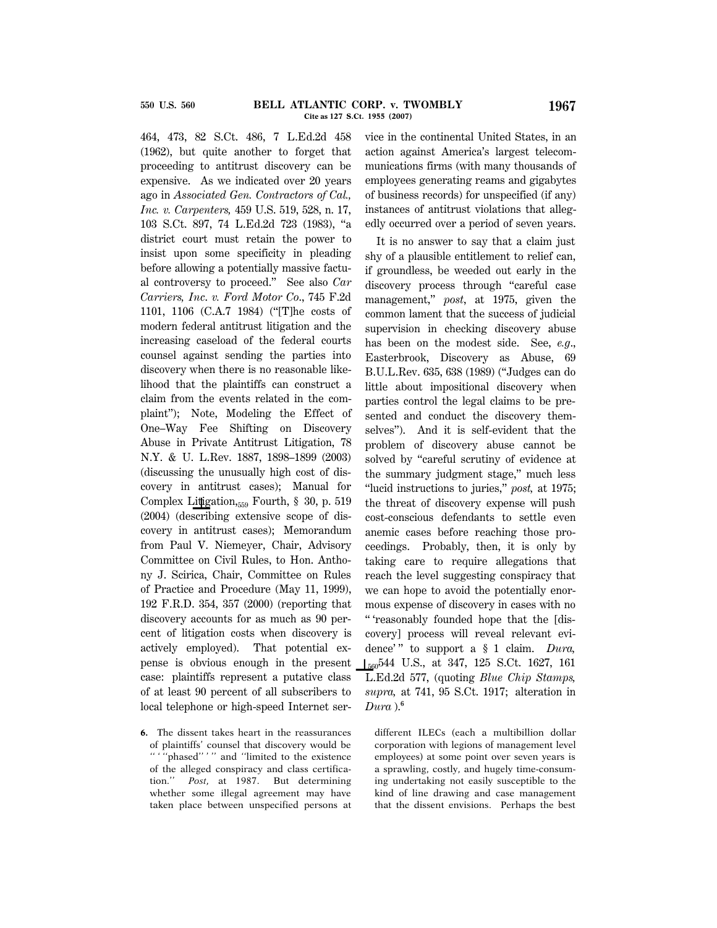464, 473, 82 S.Ct. 486, 7 L.Ed.2d 458 (1962), but quite another to forget that proceeding to antitrust discovery can be expensive. As we indicated over 20 years ago in *Associated Gen. Contractors of Cal., Inc. v. Carpenters,* 459 U.S. 519, 528, n. 17, 103 S.Ct. 897, 74 L.Ed.2d 723 (1983), ''a district court must retain the power to insist upon some specificity in pleading before allowing a potentially massive factual controversy to proceed.'' See also *Car Carriers, Inc*. *v. Ford Motor Co*., 745 F.2d 1101, 1106 (C.A.7 1984) (''[T]he costs of modern federal antitrust litigation and the increasing caseload of the federal courts counsel against sending the parties into discovery when there is no reasonable likelihood that the plaintiffs can construct a claim from the events related in the complaint''); Note, Modeling the Effect of One–Way Fee Shifting on Discovery Abuse in Private Antitrust Litigation, 78 N.Y. & U. L.Rev. 1887, 1898–1899 (2003) (discussing the unusually high cost of discovery in antitrust cases); Manual for Complex Litigation, $_{559}$  Fourth, § 30, p. 519 (2004) (describing extensive scope of discovery in antitrust cases); Memorandum from Paul V. Niemeyer, Chair, Advisory Committee on Civil Rules, to Hon. Anthony J. Scirica, Chair, Committee on Rules of Practice and Procedure (May 11, 1999), 192 F.R.D. 354, 357 (2000) (reporting that discovery accounts for as much as 90 percent of litigation costs when discovery is actively employed). That potential expense is obvious enough in the present case: plaintiffs represent a putative class of at least 90 percent of all subscribers to local telephone or high-speed Internet ser-

**6.** The dissent takes heart in the reassurances of plaintiffs' counsel that discovery would be "'"phased"'" and "limited to the existence of the alleged conspiracy and class certification.'' *Post,* at 1987. But determining whether some illegal agreement may have taken place between unspecified persons at vice in the continental United States, in an action against America's largest telecommunications firms (with many thousands of employees generating reams and gigabytes of business records) for unspecified (if any) instances of antitrust violations that allegedly occurred over a period of seven years.

It is no answer to say that a claim just shy of a plausible entitlement to relief can, if groundless, be weeded out early in the discovery process through ''careful case management,'' *post*, at 1975, given the common lament that the success of judicial supervision in checking discovery abuse has been on the modest side. See, *e.g*., Easterbrook, Discovery as Abuse, 69 B.U.L.Rev. 635, 638 (1989) (''Judges can do little about impositional discovery when parties control the legal claims to be presented and conduct the discovery themselves''). And it is self-evident that the problem of discovery abuse cannot be solved by "careful scrutiny of evidence at the summary judgment stage,'' much less ''lucid instructions to juries,'' *post,* at 1975; the threat of discovery expense will push cost-conscious defendants to settle even anemic cases before reaching those proceedings. Probably, then, it is only by taking care to require allegations that reach the level suggesting conspiracy that we can hope to avoid the potentially enormous expense of discovery in cases with no '' 'reasonably founded hope that the [discovery] process will reveal relevant evidence' '' to support a § 1 claim. *Dura,* S560544 U.S., at 347, 125 S.Ct. 1627, 161 L.Ed.2d 577, (quoting *Blue Chip Stamps, supra,* at 741, 95 S.Ct. 1917; alteration in *Dura* ).**<sup>6</sup>**

different ILECs (each a multibillion dollar corporation with legions of management level employees) at some point over seven years is a sprawling, costly, and hugely time-consuming undertaking not easily susceptible to the kind of line drawing and case management that the dissent envisions. Perhaps the best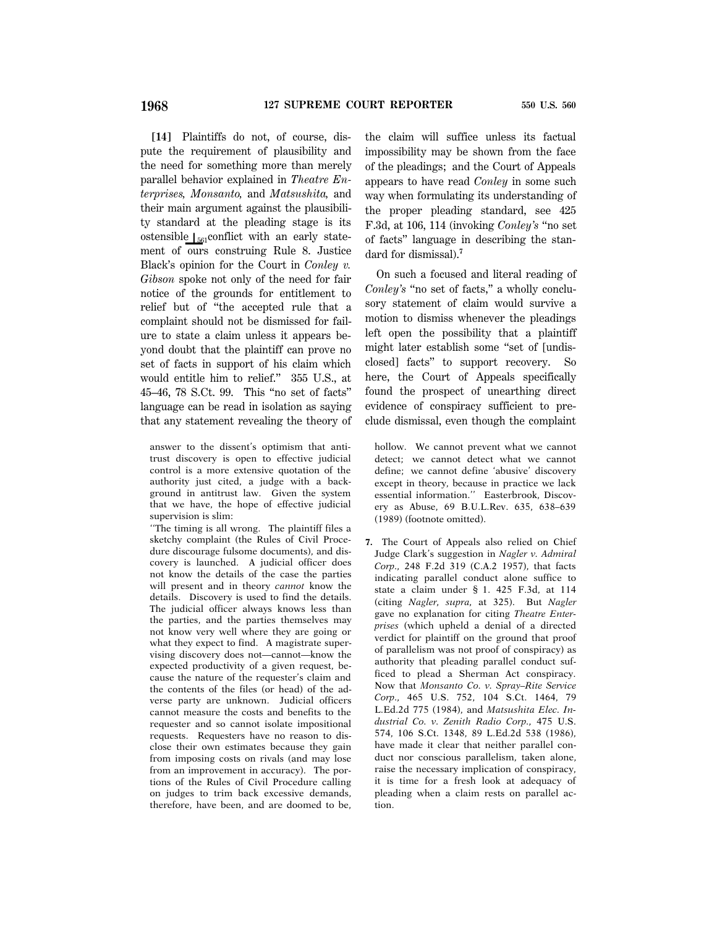**[14]** Plaintiffs do not, of course, dispute the requirement of plausibility and the need for something more than merely parallel behavior explained in *Theatre Enterprises, Monsanto,* and *Matsushita,* and their main argument against the plausibility standard at the pleading stage is its ostensible  $\left| \right|_{561}$ conflict with an early statement of ours construing Rule 8. Justice Black's opinion for the Court in *Conley v. Gibson* spoke not only of the need for fair notice of the grounds for entitlement to relief but of ''the accepted rule that a complaint should not be dismissed for failure to state a claim unless it appears beyond doubt that the plaintiff can prove no set of facts in support of his claim which would entitle him to relief.'' 355 U.S., at 45–46, 78 S.Ct. 99. This ''no set of facts'' language can be read in isolation as saying that any statement revealing the theory of

answer to the dissent's optimism that antitrust discovery is open to effective judicial control is a more extensive quotation of the authority just cited, a judge with a background in antitrust law. Given the system that we have, the hope of effective judicial supervision is slim:

''The timing is all wrong. The plaintiff files a sketchy complaint (the Rules of Civil Procedure discourage fulsome documents), and discovery is launched. A judicial officer does not know the details of the case the parties will present and in theory *cannot* know the details. Discovery is used to find the details. The judicial officer always knows less than the parties, and the parties themselves may not know very well where they are going or what they expect to find. A magistrate supervising discovery does not—cannot—know the expected productivity of a given request, because the nature of the requester's claim and the contents of the files (or head) of the adverse party are unknown. Judicial officers cannot measure the costs and benefits to the requester and so cannot isolate impositional requests. Requesters have no reason to disclose their own estimates because they gain from imposing costs on rivals (and may lose from an improvement in accuracy). The portions of the Rules of Civil Procedure calling on judges to trim back excessive demands, therefore, have been, and are doomed to be,

the claim will suffice unless its factual impossibility may be shown from the face of the pleadings; and the Court of Appeals appears to have read *Conley* in some such way when formulating its understanding of the proper pleading standard, see 425 F.3d, at 106, 114 (invoking *Conley's* ''no set of facts'' language in describing the standard for dismissal).**<sup>7</sup>**

On such a focused and literal reading of *Conley's* "no set of facts," a wholly conclusory statement of claim would survive a motion to dismiss whenever the pleadings left open the possibility that a plaintiff might later establish some "set of [undisclosed] facts'' to support recovery. So here, the Court of Appeals specifically found the prospect of unearthing direct evidence of conspiracy sufficient to preclude dismissal, even though the complaint

hollow. We cannot prevent what we cannot detect; we cannot detect what we cannot define; we cannot define 'abusive' discovery except in theory, because in practice we lack essential information.'' Easterbrook, Discovery as Abuse, 69 B.U.L.Rev. 635, 638–639 (1989) (footnote omitted).

**7.** The Court of Appeals also relied on Chief Judge Clark's suggestion in *Nagler v. Admiral Corp.,* 248 F.2d 319 (C.A.2 1957), that facts indicating parallel conduct alone suffice to state a claim under § 1. 425 F.3d, at 114 (citing *Nagler, supra,* at 325). But *Nagler* gave no explanation for citing *Theatre Enterprises* (which upheld a denial of a directed verdict for plaintiff on the ground that proof of parallelism was not proof of conspiracy) as authority that pleading parallel conduct sufficed to plead a Sherman Act conspiracy. Now that *Monsanto Co. v. Spray–Rite Service Corp.,* 465 U.S. 752, 104 S.Ct. 1464, 79 L.Ed.2d 775 (1984), and *Matsushita Elec. Industrial Co. v. Zenith Radio Corp.,* 475 U.S. 574, 106 S.Ct. 1348, 89 L.Ed.2d 538 (1986), have made it clear that neither parallel conduct nor conscious parallelism, taken alone, raise the necessary implication of conspiracy, it is time for a fresh look at adequacy of pleading when a claim rests on parallel action.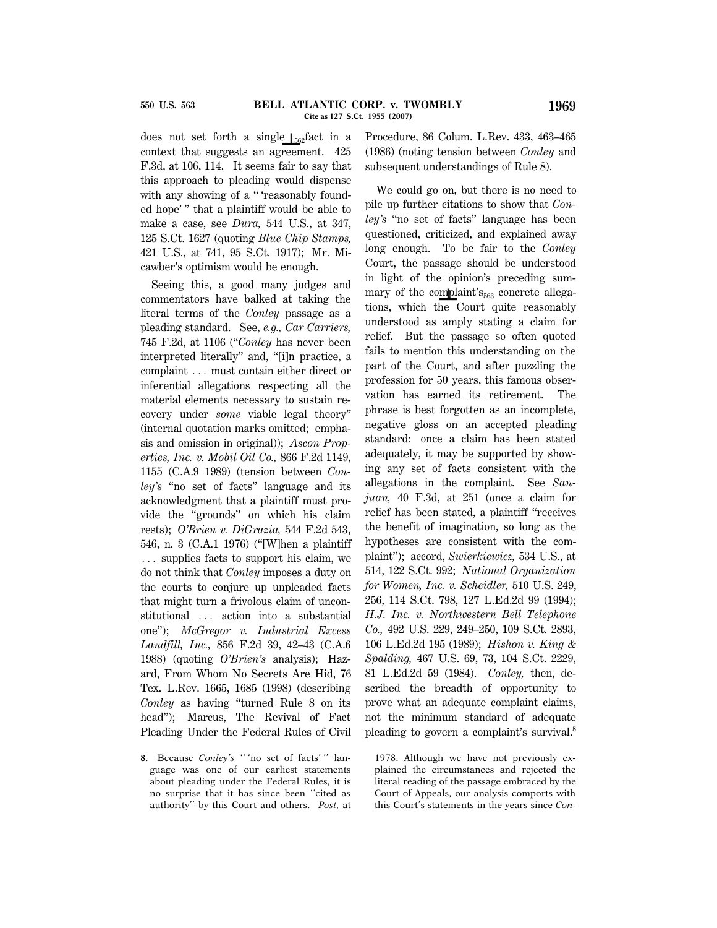does not set forth a single  $\int_{562}$ fact in a context that suggests an agreement. 425 F.3d, at 106, 114. It seems fair to say that this approach to pleading would dispense with any showing of a "'reasonably founded hope' '' that a plaintiff would be able to make a case, see *Dura,* 544 U.S., at 347, 125 S.Ct. 1627 (quoting *Blue Chip Stamps,* 421 U.S., at 741, 95 S.Ct. 1917); Mr. Micawber's optimism would be enough.

Seeing this, a good many judges and commentators have balked at taking the literal terms of the *Conley* passage as a pleading standard. See, *e.g., Car Carriers,* 745 F.2d, at 1106 (''*Conley* has never been interpreted literally'' and, ''[i]n practice, a complaint ... must contain either direct or inferential allegations respecting all the material elements necessary to sustain recovery under *some* viable legal theory'' (internal quotation marks omitted; emphasis and omission in original)); *Ascon Properties, Inc. v. Mobil Oil Co.,* 866 F.2d 1149, 1155 (C.A.9 1989) (tension between *Conley's* ''no set of facts'' language and its acknowledgment that a plaintiff must provide the ''grounds'' on which his claim rests); *O'Brien v. DiGrazia,* 544 F.2d 543, 546, n. 3 (C.A.1 1976) (''[W]hen a plaintiff  $\ldots$  supplies facts to support his claim, we do not think that *Conley* imposes a duty on the courts to conjure up unpleaded facts that might turn a frivolous claim of unconstitutional ... action into a substantial one''); *McGregor v. Industrial Excess Landfill, Inc.,* 856 F.2d 39, 42–43 (C.A.6 1988) (quoting *O'Brien's* analysis); Hazard, From Whom No Secrets Are Hid, 76 Tex. L.Rev. 1665, 1685 (1998) (describing *Conley* as having ''turned Rule 8 on its head''); Marcus, The Revival of Fact Pleading Under the Federal Rules of Civil Procedure, 86 Colum. L.Rev. 433, 463–465 (1986) (noting tension between *Conley* and subsequent understandings of Rule 8).

We could go on, but there is no need to pile up further citations to show that *Conley's* ''no set of facts'' language has been questioned, criticized, and explained away long enough. To be fair to the *Conley* Court, the passage should be understood in light of the opinion's preceding summary of the complaint's<sub>563</sub> concrete allegations, which the Court quite reasonably understood as amply stating a claim for relief. But the passage so often quoted fails to mention this understanding on the part of the Court, and after puzzling the profession for 50 years, this famous observation has earned its retirement. The phrase is best forgotten as an incomplete, negative gloss on an accepted pleading standard: once a claim has been stated adequately, it may be supported by showing any set of facts consistent with the allegations in the complaint. See *Sanjuan,* 40 F.3d, at 251 (once a claim for relief has been stated, a plaintiff ''receives the benefit of imagination, so long as the hypotheses are consistent with the complaint''); accord, *Swierkiewicz,* 534 U.S., at 514, 122 S.Ct. 992; *National Organization for Women, Inc. v. Scheidler,* 510 U.S. 249, 256, 114 S.Ct. 798, 127 L.Ed.2d 99 (1994); *H.J. Inc. v. Northwestern Bell Telephone Co.,* 492 U.S. 229, 249–250, 109 S.Ct. 2893, 106 L.Ed.2d 195 (1989); *Hishon v. King & Spalding,* 467 U.S. 69, 73, 104 S.Ct. 2229, 81 L.Ed.2d 59 (1984). *Conley,* then, described the breadth of opportunity to prove what an adequate complaint claims, not the minimum standard of adequate pleading to govern a complaint's survival.**<sup>8</sup>**

1978. Although we have not previously explained the circumstances and rejected the literal reading of the passage embraced by the Court of Appeals, our analysis comports with this Court's statements in the years since *Con*-

**<sup>8.</sup>** Because *Conley's* '' 'no set of facts' '' language was one of our earliest statements about pleading under the Federal Rules, it is no surprise that it has since been ''cited as authority'' by this Court and others. *Post,* at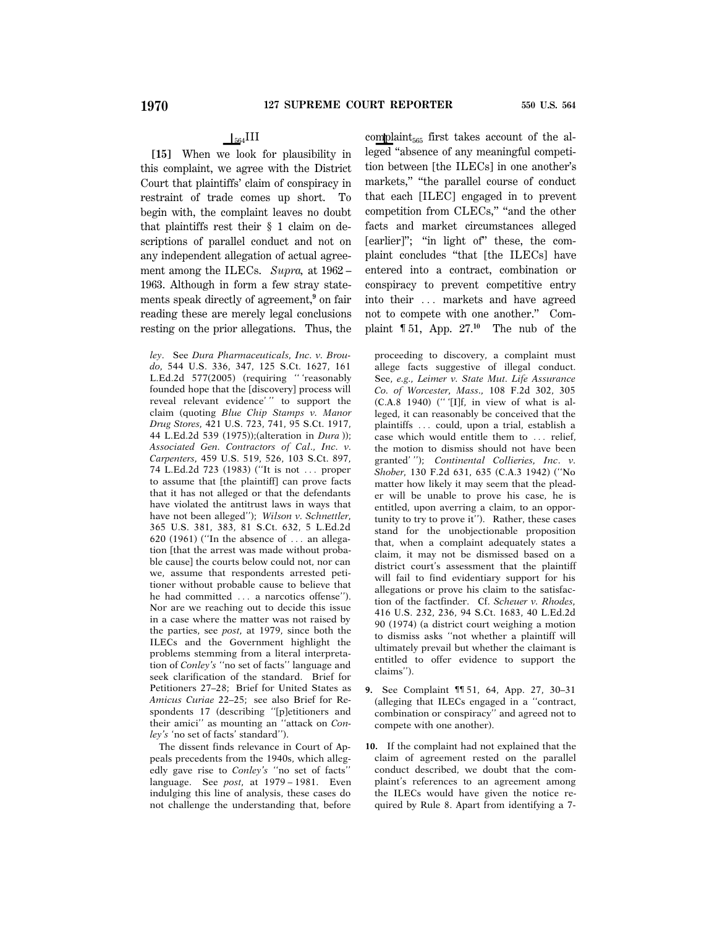## $\vert$ <sub>564</sub>III

**[15]** When we look for plausibility in this complaint, we agree with the District Court that plaintiffs' claim of conspiracy in restraint of trade comes up short. To begin with, the complaint leaves no doubt that plaintiffs rest their § 1 claim on descriptions of parallel conduct and not on any independent allegation of actual agreement among the ILECs. *Supra,* at 1962 – 1963. Although in form a few stray statements speak directly of agreement,**<sup>9</sup>** on fair reading these are merely legal conclusions resting on the prior allegations. Thus, the

*ley*. See *Dura Pharmaceuticals, Inc. v. Broudo,* 544 U.S. 336, 347, 125 S.Ct. 1627, 161 L.Ed.2d 577(2005) (requiring '' 'reasonably founded hope that the [discovery] process will reveal relevant evidence' '' to support the claim (quoting *Blue Chip Stamps v. Manor Drug Stores,* 421 U.S. 723, 741, 95 S.Ct. 1917, 44 L.Ed.2d 539 (1975));(alteration in *Dura* )); *Associated Gen. Contractors of Cal*., *Inc. v. Carpenters,* 459 U.S. 519, 526, 103 S.Ct. 897, 74 L.Ed.2d 723 (1983) ("It is not ... proper to assume that [the plaintiff] can prove facts that it has not alleged or that the defendants have violated the antitrust laws in ways that have not been alleged''); *Wilson v. Schnettler,* 365 U.S. 381, 383, 81 S.Ct. 632, 5 L.Ed.2d  $620$  (1961) ("In the absence of  $\ldots$  an allegation [that the arrest was made without probable cause] the courts below could not, nor can we, assume that respondents arrested petitioner without probable cause to believe that he had committed ... a narcotics offense''). Nor are we reaching out to decide this issue in a case where the matter was not raised by the parties, see *post,* at 1979, since both the ILECs and the Government highlight the problems stemming from a literal interpretation of *Conley's* ''no set of facts'' language and seek clarification of the standard. Brief for Petitioners 27–28; Brief for United States as *Amicus Curiae* 22–25; see also Brief for Respondents 17 (describing ''[p]etitioners and their amici'' as mounting an ''attack on *Conley's* 'no set of facts' standard'').

The dissent finds relevance in Court of Appeals precedents from the 1940s, which allegedly gave rise to *Conley's* ''no set of facts'' language. See *post,* at 1979 – 1981. Even indulging this line of analysis, these cases do not challenge the understanding that, before

complaint $_{565}$  first takes account of the alleged ''absence of any meaningful competition between [the ILECs] in one another's markets," "the parallel course of conduct that each [ILEC] engaged in to prevent competition from CLECs,'' ''and the other facts and market circumstances alleged [earlier]"; "in light of" these, the complaint concludes ''that [the ILECs] have entered into a contract, combination or conspiracy to prevent competitive entry into their ... markets and have agreed not to compete with one another.'' Complaint ¶ 51, App. 27.**<sup>10</sup>** The nub of the

proceeding to discovery, a complaint must allege facts suggestive of illegal conduct. See, *e.g., Leimer v. State Mut. Life Assurance Co. of Worcester, Mass.,* 108 F.2d 302, 305  $(C.A.8 1940)$  ("'[I]f, in view of what is alleged, it can reasonably be conceived that the plaintiffs ... could, upon a trial, establish a case which would entitle them to ... relief, the motion to dismiss should not have been granted' ''); *Continental Collieries, Inc*. *v. Shober,* 130 F.2d 631, 635 (C.A.3 1942) (''No matter how likely it may seem that the pleader will be unable to prove his case, he is entitled, upon averring a claim, to an opportunity to try to prove it''). Rather, these cases stand for the unobjectionable proposition that, when a complaint adequately states a claim, it may not be dismissed based on a district court's assessment that the plaintiff will fail to find evidentiary support for his allegations or prove his claim to the satisfaction of the factfinder. Cf. *Scheuer v. Rhodes,* 416 U.S. 232, 236, 94 S.Ct. 1683, 40 L.Ed.2d 90 (1974) (a district court weighing a motion to dismiss asks ''not whether a plaintiff will ultimately prevail but whether the claimant is entitled to offer evidence to support the claims'').

- **9.** See Complaint ¶¶ 51, 64, App. 27, 30–31 (alleging that ILECs engaged in a ''contract, combination or conspiracy'' and agreed not to compete with one another).
- **10.** If the complaint had not explained that the claim of agreement rested on the parallel conduct described, we doubt that the complaint's references to an agreement among the ILECs would have given the notice required by Rule 8. Apart from identifying a 7-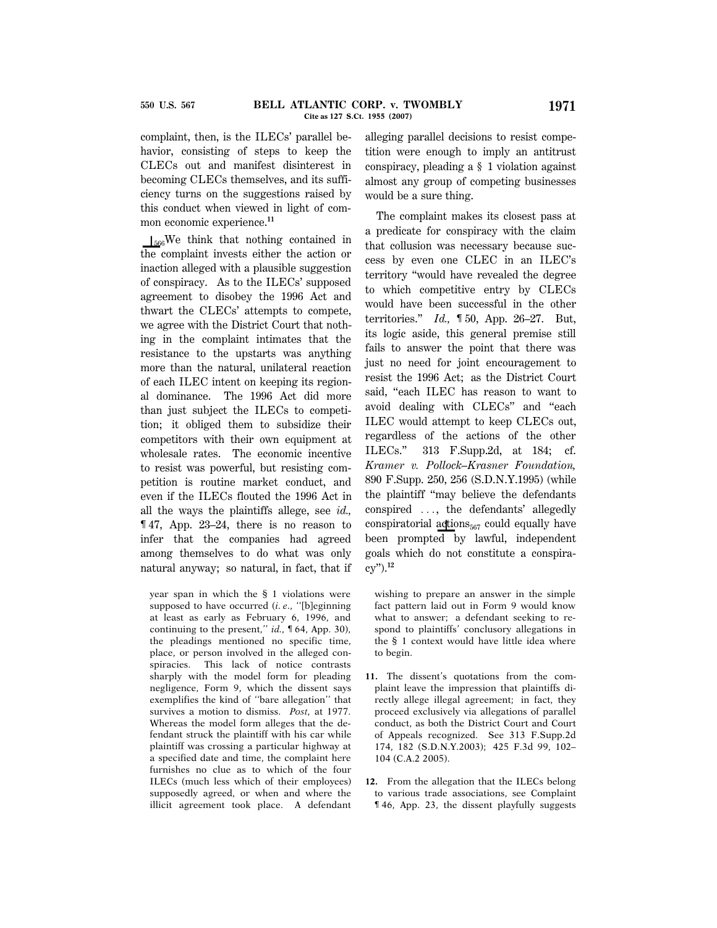complaint, then, is the ILECs' parallel behavior, consisting of steps to keep the CLECs out and manifest disinterest in becoming CLECs themselves, and its sufficiency turns on the suggestions raised by this conduct when viewed in light of common economic experience.**<sup>11</sup>**

 $\mathcal{S}_{566}$ We think that nothing contained in the complaint invests either the action or inaction alleged with a plausible suggestion of conspiracy. As to the ILECs' supposed agreement to disobey the 1996 Act and thwart the CLECs' attempts to compete, we agree with the District Court that nothing in the complaint intimates that the resistance to the upstarts was anything more than the natural, unilateral reaction of each ILEC intent on keeping its regional dominance. The 1996 Act did more than just subject the ILECs to competition; it obliged them to subsidize their competitors with their own equipment at wholesale rates. The economic incentive to resist was powerful, but resisting competition is routine market conduct, and even if the ILECs flouted the 1996 Act in all the ways the plaintiffs allege, see *id.,* ¶ 47, App. 23–24, there is no reason to infer that the companies had agreed among themselves to do what was only natural anyway; so natural, in fact, that if

year span in which the § 1 violations were supposed to have occurred (*i. e*., ''[b]eginning at least as early as February 6, 1996, and continuing to the present,'' *id.,* ¶ 64, App. 30), the pleadings mentioned no specific time, place, or person involved in the alleged conspiracies. This lack of notice contrasts sharply with the model form for pleading negligence, Form 9, which the dissent says exemplifies the kind of ''bare allegation'' that survives a motion to dismiss. *Post,* at 1977. Whereas the model form alleges that the defendant struck the plaintiff with his car while plaintiff was crossing a particular highway at a specified date and time, the complaint here furnishes no clue as to which of the four ILECs (much less which of their employees) supposedly agreed, or when and where the illicit agreement took place. A defendant

alleging parallel decisions to resist competition were enough to imply an antitrust conspiracy, pleading a § 1 violation against almost any group of competing businesses would be a sure thing.

The complaint makes its closest pass at a predicate for conspiracy with the claim that collusion was necessary because success by even one CLEC in an ILEC's territory ''would have revealed the degree to which competitive entry by CLECs would have been successful in the other territories.'' *Id.,* ¶ 50, App. 26–27. But, its logic aside, this general premise still fails to answer the point that there was just no need for joint encouragement to resist the 1996 Act; as the District Court said, "each ILEC has reason to want to avoid dealing with CLECs'' and ''each ILEC would attempt to keep CLECs out, regardless of the actions of the other ILECs.'' 313 F.Supp.2d, at 184; cf. *Kramer v. Pollock–Krasner Foundation,* 890 F.Supp. 250, 256 (S.D.N.Y.1995) (while the plaintiff ''may believe the defendants conspired  $\ldots$ , the defendants' allegedly conspiratorial actions $_{567}$  could equally have been prompted by lawful, independent goals which do not constitute a conspiracy'').**<sup>12</sup>**

wishing to prepare an answer in the simple fact pattern laid out in Form 9 would know what to answer; a defendant seeking to respond to plaintiffs' conclusory allegations in the § 1 context would have little idea where to begin.

- **11.** The dissent's quotations from the complaint leave the impression that plaintiffs directly allege illegal agreement; in fact, they proceed exclusively via allegations of parallel conduct, as both the District Court and Court of Appeals recognized. See 313 F.Supp.2d 174, 182 (S.D.N.Y.2003); 425 F.3d 99, 102– 104 (C.A.2 2005).
- **12.** From the allegation that the ILECs belong to various trade associations, see Complaint ¶ 46, App. 23, the dissent playfully suggests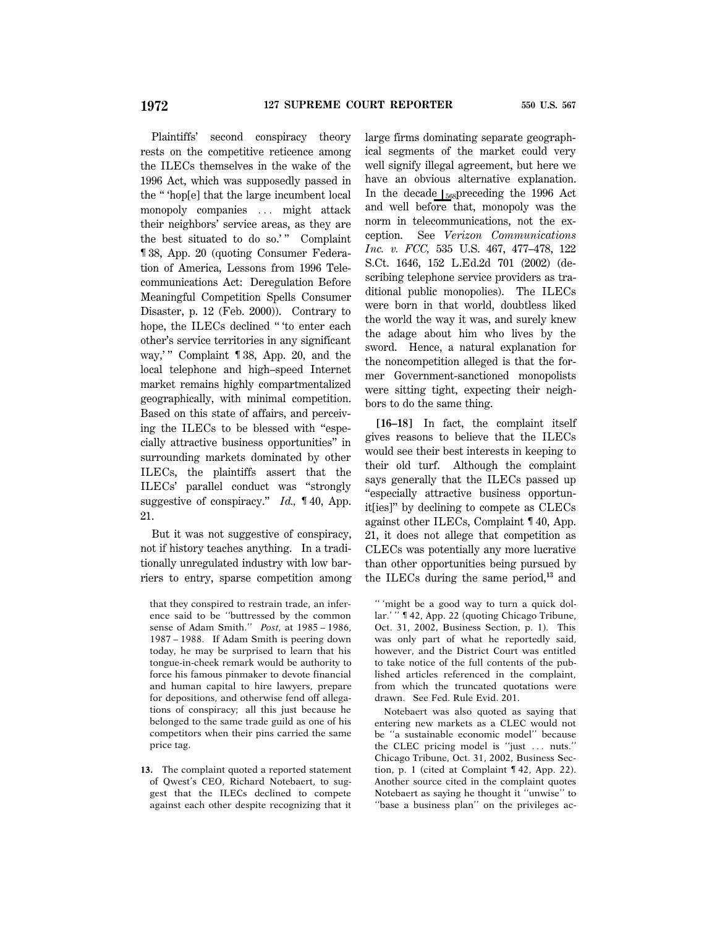Plaintiffs' second conspiracy theory rests on the competitive reticence among the ILECs themselves in the wake of the 1996 Act, which was supposedly passed in the '' 'hop[e] that the large incumbent local monopoly companies ... might attack their neighbors' service areas, as they are the best situated to do so.'" Complaint ¶ 38, App. 20 (quoting Consumer Federation of America, Lessons from 1996 Telecommunications Act: Deregulation Before Meaningful Competition Spells Consumer Disaster, p. 12 (Feb. 2000)). Contrary to hope, the ILECs declined "to enter each other's service territories in any significant way,'" Complaint ¶ 38, App. 20, and the local telephone and high–speed Internet market remains highly compartmentalized geographically, with minimal competition. Based on this state of affairs, and perceiving the ILECs to be blessed with ''especially attractive business opportunities'' in surrounding markets dominated by other ILECs, the plaintiffs assert that the ILECs' parallel conduct was ''strongly suggestive of conspiracy.'' *Id.,* ¶ 40, App. 21.

But it was not suggestive of conspiracy, not if history teaches anything. In a traditionally unregulated industry with low barriers to entry, sparse competition among

that they conspired to restrain trade, an inference said to be ''buttressed by the common sense of Adam Smith.'' *Post,* at 1985 – 1986, 1987 – 1988. If Adam Smith is peering down today, he may be surprised to learn that his tongue-in-cheek remark would be authority to force his famous pinmaker to devote financial and human capital to hire lawyers, prepare for depositions, and otherwise fend off allegations of conspiracy; all this just because he belonged to the same trade guild as one of his competitors when their pins carried the same price tag.

**13.** The complaint quoted a reported statement of Qwest's CEO, Richard Notebaert, to suggest that the ILECs declined to compete against each other despite recognizing that it

large firms dominating separate geographical segments of the market could very well signify illegal agreement, but here we have an obvious alternative explanation. In the decade  $\int_{568}$ preceding the 1996 Act and well before that, monopoly was the norm in telecommunications, not the exception. See *Verizon Communications Inc. v. FCC,* 535 U.S. 467, 477–478, 122 S.Ct. 1646, 152 L.Ed.2d 701 (2002) (describing telephone service providers as traditional public monopolies). The ILECs were born in that world, doubtless liked the world the way it was, and surely knew the adage about him who lives by the sword. Hence, a natural explanation for the noncompetition alleged is that the former Government-sanctioned monopolists were sitting tight, expecting their neighbors to do the same thing.

**[16–18]** In fact, the complaint itself gives reasons to believe that the ILECs would see their best interests in keeping to their old turf. Although the complaint says generally that the ILECs passed up ''especially attractive business opportunit[ies]'' by declining to compete as CLECs against other ILECs, Complaint ¶ 40, App. 21, it does not allege that competition as CLECs was potentially any more lucrative than other opportunities being pursued by the ILECs during the same period,**<sup>13</sup>** and

<sup>&#</sup>x27;' 'might be a good way to turn a quick dollar.' '' ¶ 42, App. 22 (quoting Chicago Tribune, Oct. 31, 2002, Business Section, p. 1). This was only part of what he reportedly said, however, and the District Court was entitled to take notice of the full contents of the published articles referenced in the complaint, from which the truncated quotations were drawn. See Fed. Rule Evid. 201.

Notebaert was also quoted as saying that entering new markets as a CLEC would not be ''a sustainable economic model'' because the CLEC pricing model is "just ... nuts." Chicago Tribune, Oct. 31, 2002, Business Section, p. 1 (cited at Complaint ¶ 42, App. 22). Another source cited in the complaint quotes Notebaert as saying he thought it ''unwise'' to ''base a business plan'' on the privileges ac-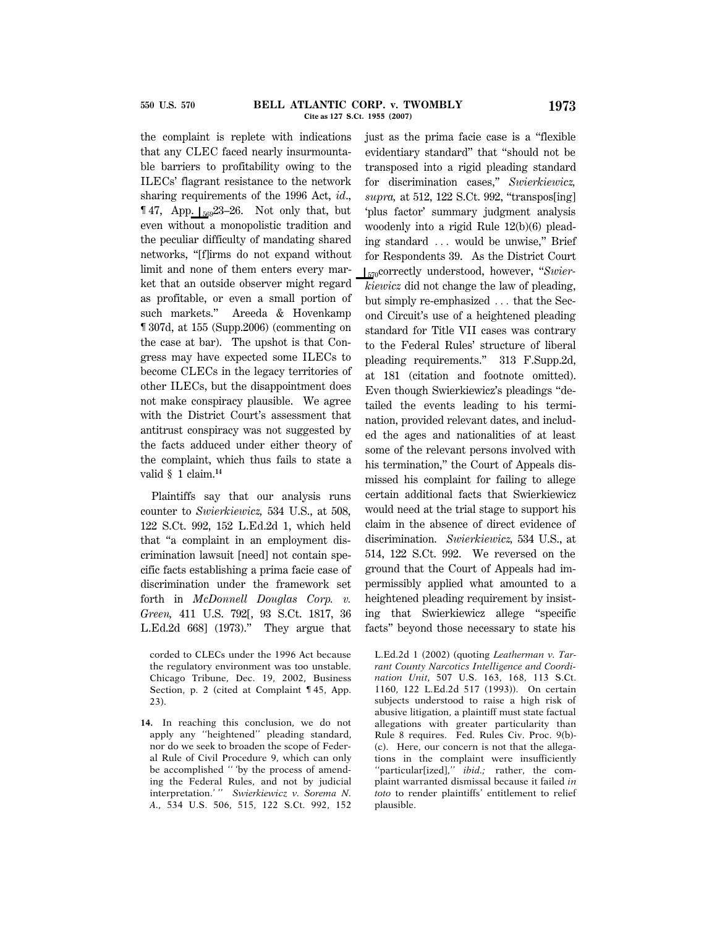the complaint is replete with indications that any CLEC faced nearly insurmountable barriers to profitability owing to the ILECs' flagrant resistance to the network sharing requirements of the 1996 Act, *id*., **147, App.**  $\int_{569}^{23-26}$ **.** Not only that, but even without a monopolistic tradition and the peculiar difficulty of mandating shared networks, ''[f]irms do not expand without limit and none of them enters every market that an outside observer might regard as profitable, or even a small portion of such markets.'' Areeda & Hovenkamp ¶ 307d, at 155 (Supp.2006) (commenting on the case at bar). The upshot is that Congress may have expected some ILECs to become CLECs in the legacy territories of other ILECs, but the disappointment does

not make conspiracy plausible. We agree with the District Court's assessment that antitrust conspiracy was not suggested by the facts adduced under either theory of the complaint, which thus fails to state a valid § 1 claim.**<sup>14</sup>**

Plaintiffs say that our analysis runs counter to *Swierkiewicz,* 534 U.S., at 508, 122 S.Ct. 992, 152 L.Ed.2d 1, which held that ''a complaint in an employment discrimination lawsuit [need] not contain specific facts establishing a prima facie case of discrimination under the framework set forth in *McDonnell Douglas Corp. v. Green,* 411 U.S. 792[, 93 S.Ct. 1817, 36 L.Ed.2d 668] (1973).'' They argue that

corded to CLECs under the 1996 Act because the regulatory environment was too unstable. Chicago Tribune, Dec. 19, 2002, Business Section, p. 2 (cited at Complaint ¶ 45, App. 23).

**14.** In reaching this conclusion, we do not apply any ''heightened'' pleading standard, nor do we seek to broaden the scope of Federal Rule of Civil Procedure 9, which can only be accomplished '' 'by the process of amending the Federal Rules, and not by judicial interpretation.' '' *Swierkiewicz v. Sorema N. A.,* 534 U.S. 506, 515, 122 S.Ct. 992, 152

just as the prima facie case is a ''flexible evidentiary standard'' that ''should not be transposed into a rigid pleading standard for discrimination cases,'' *Swierkiewicz, supra,* at 512, 122 S.Ct. 992, ''transpos[ing] 'plus factor' summary judgment analysis woodenly into a rigid Rule 12(b)(6) pleading standard ... would be unwise," Brief for Respondents 39. As the District Court S570correctly understood, however, ''*Swierkiewicz* did not change the law of pleading, but simply re-emphasized ... that the Second Circuit's use of a heightened pleading standard for Title VII cases was contrary to the Federal Rules' structure of liberal pleading requirements.'' 313 F.Supp.2d, at 181 (citation and footnote omitted). Even though Swierkiewicz's pleadings ''detailed the events leading to his termination, provided relevant dates, and included the ages and nationalities of at least some of the relevant persons involved with his termination," the Court of Appeals dismissed his complaint for failing to allege certain additional facts that Swierkiewicz would need at the trial stage to support his claim in the absence of direct evidence of discrimination. *Swierkiewicz,* 534 U.S., at 514, 122 S.Ct. 992. We reversed on the ground that the Court of Appeals had impermissibly applied what amounted to a heightened pleading requirement by insisting that Swierkiewicz allege ''specific facts'' beyond those necessary to state his

L.Ed.2d 1 (2002) (quoting *Leatherman v. Tarrant County Narcotics Intelligence and Coordination Unit,* 507 U.S. 163, 168, 113 S.Ct. 1160, 122 L.Ed.2d 517 (1993)). On certain subjects understood to raise a high risk of abusive litigation, a plaintiff must state factual allegations with greater particularity than Rule 8 requires. Fed. Rules Civ. Proc. 9(b)- (c). Here, our concern is not that the allegations in the complaint were insufficiently ''particular[ized],'' *ibid.;* rather, the complaint warranted dismissal because it failed *in toto* to render plaintiffs' entitlement to relief plausible.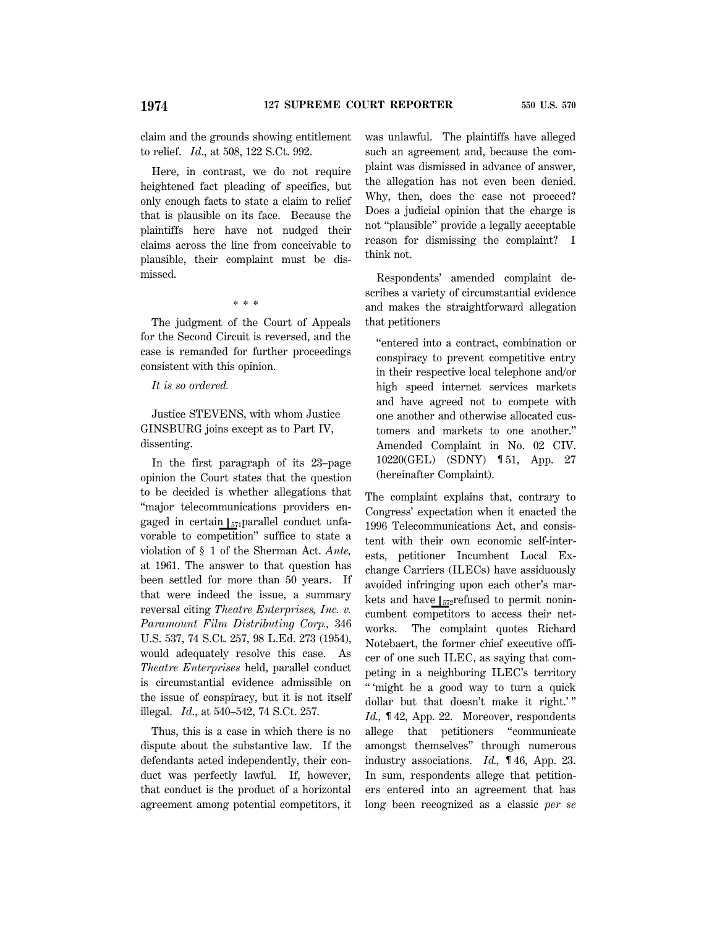claim and the grounds showing entitlement to relief. *Id*., at 508, 122 S.Ct. 992.

Here, in contrast, we do not require heightened fact pleading of specifics, but only enough facts to state a claim to relief that is plausible on its face. Because the plaintiffs here have not nudged their claims across the line from conceivable to plausible, their complaint must be dismissed.

\* \* \*

The judgment of the Court of Appeals for the Second Circuit is reversed, and the case is remanded for further proceedings consistent with this opinion.

### *It is so ordered.*

Justice STEVENS, with whom Justice GINSBURG joins except as to Part IV, dissenting.

In the first paragraph of its 23–page opinion the Court states that the question to be decided is whether allegations that ''major telecommunications providers engaged in certain  $\left| \right|$ <sub>571</sub> parallel conduct unfavorable to competition'' suffice to state a violation of § 1 of the Sherman Act. *Ante,* at 1961. The answer to that question has been settled for more than 50 years. If that were indeed the issue, a summary reversal citing *Theatre Enterprises, Inc. v. Paramount Film Distributing Corp.,* 346 U.S. 537, 74 S.Ct. 257, 98 L.Ed. 273 (1954), would adequately resolve this case. As *Theatre Enterprises* held, parallel conduct is circumstantial evidence admissible on the issue of conspiracy, but it is not itself illegal. *Id*., at 540–542, 74 S.Ct. 257.

Thus, this is a case in which there is no dispute about the substantive law. If the defendants acted independently, their conduct was perfectly lawful. If, however, that conduct is the product of a horizontal agreement among potential competitors, it was unlawful. The plaintiffs have alleged such an agreement and, because the complaint was dismissed in advance of answer, the allegation has not even been denied. Why, then, does the case not proceed? Does a judicial opinion that the charge is not ''plausible'' provide a legally acceptable reason for dismissing the complaint? I think not.

Respondents' amended complaint describes a variety of circumstantial evidence and makes the straightforward allegation that petitioners

''entered into a contract, combination or conspiracy to prevent competitive entry in their respective local telephone and/or high speed internet services markets and have agreed not to compete with one another and otherwise allocated customers and markets to one another.'' Amended Complaint in No. 02 CIV. 10220(GEL) (SDNY) ¶ 51, App. 27 (hereinafter Complaint).

The complaint explains that, contrary to Congress' expectation when it enacted the 1996 Telecommunications Act, and consistent with their own economic self-interests, petitioner Incumbent Local Exchange Carriers (ILECs) have assiduously avoided infringing upon each other's markets and have  $\int_{572}$ refused to permit nonincumbent competitors to access their networks. The complaint quotes Richard Notebaert, the former chief executive officer of one such ILEC, as saying that competing in a neighboring ILEC's territory '' 'might be a good way to turn a quick dollar but that doesn't make it right.'" *Id.,* ¶ 42, App. 22. Moreover, respondents allege that petitioners ''communicate amongst themselves'' through numerous industry associations. *Id.,* ¶ 46, App. 23. In sum, respondents allege that petitioners entered into an agreement that has long been recognized as a classic *per se*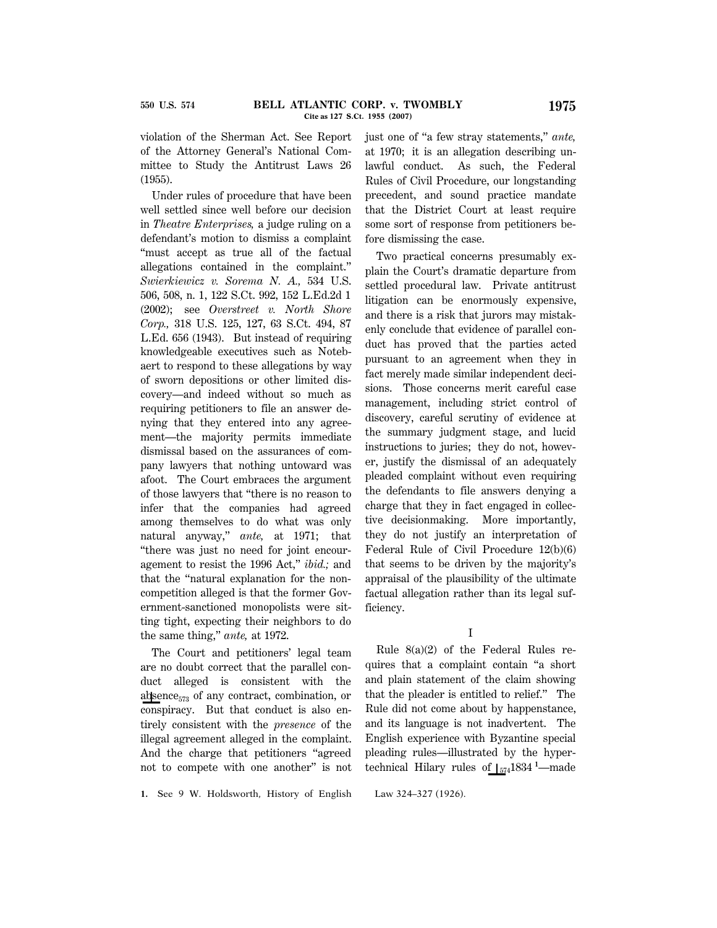violation of the Sherman Act. See Report of the Attorney General's National Committee to Study the Antitrust Laws 26 (1955).

Under rules of procedure that have been well settled since well before our decision in *Theatre Enterprises,* a judge ruling on a defendant's motion to dismiss a complaint ''must accept as true all of the factual allegations contained in the complaint.'' *Swierkiewicz v. Sorema N. A.,* 534 U.S. 506, 508, n. 1, 122 S.Ct. 992, 152 L.Ed.2d 1 (2002); see *Overstreet v. North Shore Corp.,* 318 U.S. 125, 127, 63 S.Ct. 494, 87 L.Ed. 656 (1943). But instead of requiring knowledgeable executives such as Notebaert to respond to these allegations by way of sworn depositions or other limited discovery—and indeed without so much as requiring petitioners to file an answer denying that they entered into any agreement—the majority permits immediate dismissal based on the assurances of company lawyers that nothing untoward was afoot. The Court embraces the argument of those lawyers that ''there is no reason to infer that the companies had agreed among themselves to do what was only natural anyway,'' *ante,* at 1971; that ''there was just no need for joint encouragement to resist the 1996 Act,'' *ibid.;* and that the ''natural explanation for the noncompetition alleged is that the former Government-sanctioned monopolists were sitting tight, expecting their neighbors to do the same thing,'' *ante,* at 1972.

The Court and petitioners' legal team are no doubt correct that the parallel conduct alleged is consistent with the absence $_{573}$  of any contract, combination, or conspiracy. But that conduct is also entirely consistent with the *presence* of the illegal agreement alleged in the complaint. And the charge that petitioners ''agreed not to compete with one another'' is not

**1.** See 9 W. Holdsworth, History of English Law 324–327 (1926).

just one of ''a few stray statements,'' *ante,* at 1970; it is an allegation describing unlawful conduct. As such, the Federal Rules of Civil Procedure, our longstanding precedent, and sound practice mandate that the District Court at least require some sort of response from petitioners before dismissing the case.

Two practical concerns presumably explain the Court's dramatic departure from settled procedural law. Private antitrust litigation can be enormously expensive, and there is a risk that jurors may mistakenly conclude that evidence of parallel conduct has proved that the parties acted pursuant to an agreement when they in fact merely made similar independent decisions. Those concerns merit careful case management, including strict control of discovery, careful scrutiny of evidence at the summary judgment stage, and lucid instructions to juries; they do not, however, justify the dismissal of an adequately pleaded complaint without even requiring the defendants to file answers denying a charge that they in fact engaged in collective decisionmaking. More importantly, they do not justify an interpretation of Federal Rule of Civil Procedure 12(b)(6) that seems to be driven by the majority's appraisal of the plausibility of the ultimate factual allegation rather than its legal sufficiency.

#### I

Rule 8(a)(2) of the Federal Rules requires that a complaint contain ''a short and plain statement of the claim showing that the pleader is entitled to relief.'' The Rule did not come about by happenstance, and its language is not inadvertent. The English experience with Byzantine special pleading rules—illustrated by the hypertechnical Hilary rules of <sub>1574</sub>1834 <sup>1</sup>—made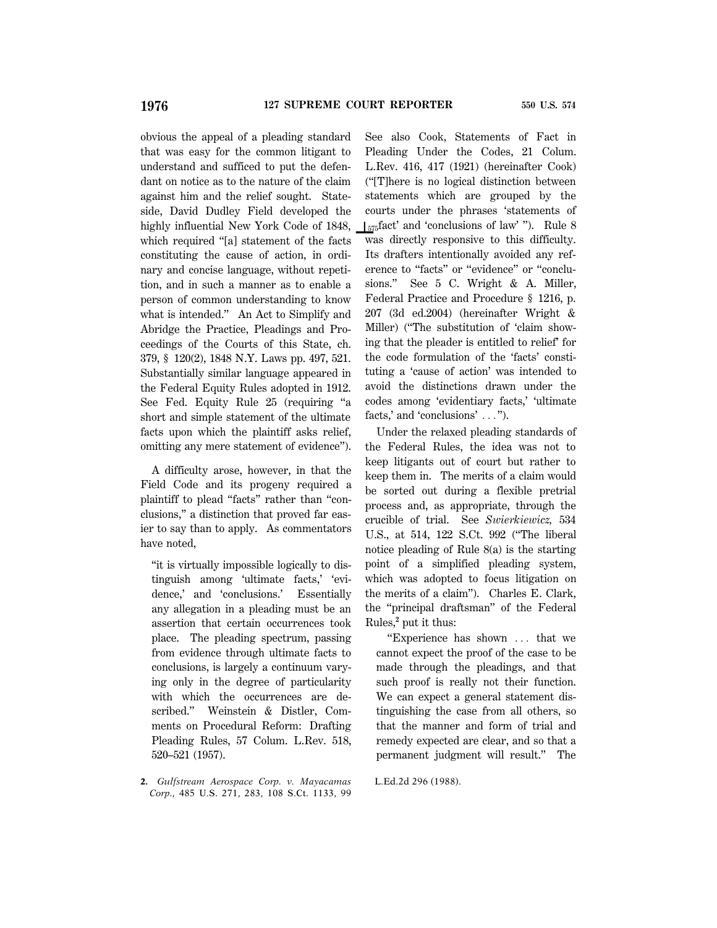obvious the appeal of a pleading standard that was easy for the common litigant to understand and sufficed to put the defendant on notice as to the nature of the claim against him and the relief sought. Stateside, David Dudley Field developed the highly influential New York Code of 1848, which required "[a] statement of the facts constituting the cause of action, in ordinary and concise language, without repetition, and in such a manner as to enable a person of common understanding to know what is intended.'' An Act to Simplify and Abridge the Practice, Pleadings and Proceedings of the Courts of this State, ch. 379, § 120(2), 1848 N.Y. Laws pp. 497, 521. Substantially similar language appeared in the Federal Equity Rules adopted in 1912. See Fed. Equity Rule 25 (requiring ''a short and simple statement of the ultimate facts upon which the plaintiff asks relief, omitting any mere statement of evidence'').

A difficulty arose, however, in that the Field Code and its progeny required a plaintiff to plead ''facts'' rather than ''conclusions,'' a distinction that proved far easier to say than to apply. As commentators have noted,

''it is virtually impossible logically to distinguish among 'ultimate facts,' 'evidence,' and 'conclusions.' Essentially any allegation in a pleading must be an assertion that certain occurrences took place. The pleading spectrum, passing from evidence through ultimate facts to conclusions, is largely a continuum varying only in the degree of particularity with which the occurrences are described.'' Weinstein & Distler, Comments on Procedural Reform: Drafting Pleading Rules, 57 Colum. L.Rev. 518, 520–521 (1957).

**2.** *Gulfstream Aerospace Corp. v. Mayacamas Corp.,* 485 U.S. 271, 283, 108 S.Ct. 1133, 99

See also Cook, Statements of Fact in Pleading Under the Codes, 21 Colum. L.Rev. 416, 417 (1921) (hereinafter Cook) (''[T]here is no logical distinction between statements which are grouped by the courts under the phrases 'statements of  $\frac{1}{575}$ fact' and 'conclusions of law' "). Rule 8 was directly responsive to this difficulty. Its drafters intentionally avoided any reference to "facts" or "evidence" or "conclusions.'' See 5 C. Wright & A. Miller, Federal Practice and Procedure § 1216, p. 207 (3d ed.2004) (hereinafter Wright & Miller) (''The substitution of 'claim showing that the pleader is entitled to relief' for the code formulation of the 'facts' constituting a 'cause of action' was intended to avoid the distinctions drawn under the codes among 'evidentiary facts,' 'ultimate facts,' and 'conclusions'  $\ldots$ ").

Under the relaxed pleading standards of the Federal Rules, the idea was not to keep litigants out of court but rather to keep them in. The merits of a claim would be sorted out during a flexible pretrial process and, as appropriate, through the crucible of trial. See *Swierkiewicz,* 534 U.S., at 514, 122 S.Ct. 992 (''The liberal notice pleading of Rule 8(a) is the starting point of a simplified pleading system, which was adopted to focus litigation on the merits of a claim''). Charles E. Clark, the ''principal draftsman'' of the Federal Rules,**<sup>2</sup>** put it thus:

"Experience has shown ... that we cannot expect the proof of the case to be made through the pleadings, and that such proof is really not their function. We can expect a general statement distinguishing the case from all others, so that the manner and form of trial and remedy expected are clear, and so that a permanent judgment will result.'' The

L.Ed.2d 296 (1988).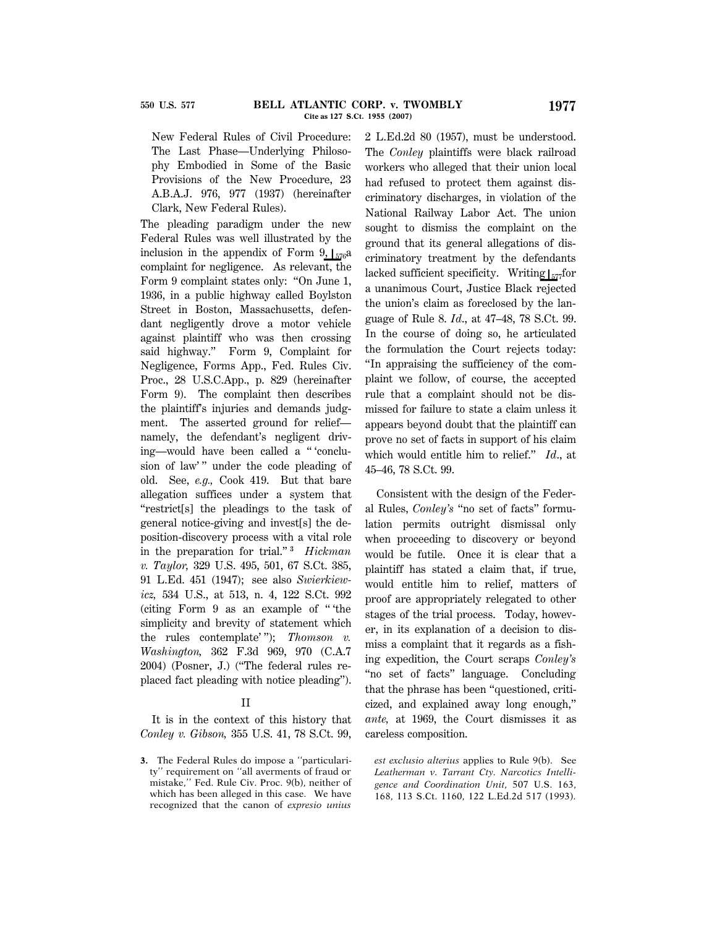New Federal Rules of Civil Procedure: The Last Phase—Underlying Philosophy Embodied in Some of the Basic Provisions of the New Procedure, 23 A.B.A.J. 976, 977 (1937) (hereinafter Clark, New Federal Rules).

The pleading paradigm under the new Federal Rules was well illustrated by the inclusion in the appendix of Form 9,  $\frac{1}{576}a$ complaint for negligence. As relevant, the Form 9 complaint states only: ''On June 1, 1936, in a public highway called Boylston Street in Boston, Massachusetts, defendant negligently drove a motor vehicle against plaintiff who was then crossing said highway.'' Form 9, Complaint for Negligence, Forms App., Fed. Rules Civ. Proc., 28 U.S.C.App., p. 829 (hereinafter Form 9). The complaint then describes the plaintiff's injuries and demands judgment. The asserted ground for relief namely, the defendant's negligent driving—would have been called a '' 'conclusion of law'" under the code pleading of old. See, *e.g.,* Cook 419. But that bare allegation suffices under a system that ''restrict[s] the pleadings to the task of general notice-giving and invest[s] the deposition-discovery process with a vital role in the preparation for trial."<sup>3</sup> Hickman *v. Taylor,* 329 U.S. 495, 501, 67 S.Ct. 385, 91 L.Ed. 451 (1947); see also *Swierkiewicz,* 534 U.S., at 513, n. 4, 122 S.Ct. 992 (citing Form 9 as an example of '' 'the simplicity and brevity of statement which the rules contemplate' ''); *Thomson v. Washington,* 362 F.3d 969, 970 (C.A.7 2004) (Posner, J.) (''The federal rules replaced fact pleading with notice pleading'').

#### II

It is in the context of this history that *Conley v. Gibson,* 355 U.S. 41, 78 S.Ct. 99,

**3.** The Federal Rules do impose a ''particularity'' requirement on ''all averments of fraud or mistake,'' Fed. Rule Civ. Proc. 9(b), neither of which has been alleged in this case. We have recognized that the canon of *expresio unius* 2 L.Ed.2d 80 (1957), must be understood. The *Conley* plaintiffs were black railroad workers who alleged that their union local had refused to protect them against discriminatory discharges, in violation of the National Railway Labor Act. The union sought to dismiss the complaint on the ground that its general allegations of discriminatory treatment by the defendants lacked sufficient specificity. Writing  $\frac{1}{577}$ for a unanimous Court, Justice Black rejected the union's claim as foreclosed by the language of Rule 8. *Id*., at 47–48, 78 S.Ct. 99. In the course of doing so, he articulated the formulation the Court rejects today: ''In appraising the sufficiency of the complaint we follow, of course, the accepted rule that a complaint should not be dismissed for failure to state a claim unless it appears beyond doubt that the plaintiff can prove no set of facts in support of his claim which would entitle him to relief.'' *Id*., at 45–46, 78 S.Ct. 99.

Consistent with the design of the Federal Rules, *Conley's* ''no set of facts'' formulation permits outright dismissal only when proceeding to discovery or beyond would be futile. Once it is clear that a plaintiff has stated a claim that, if true, would entitle him to relief, matters of proof are appropriately relegated to other stages of the trial process. Today, however, in its explanation of a decision to dismiss a complaint that it regards as a fishing expedition, the Court scraps *Conley's* "no set of facts" language. Concluding that the phrase has been ''questioned, criticized, and explained away long enough,'' *ante,* at 1969, the Court dismisses it as careless composition.

*est exclusio alterius* applies to Rule 9(b). See *Leatherman v. Tarrant Cty. Narcotics Intelligence and Coordination Unit,* 507 U.S. 163, 168, 113 S.Ct. 1160, 122 L.Ed.2d 517 (1993).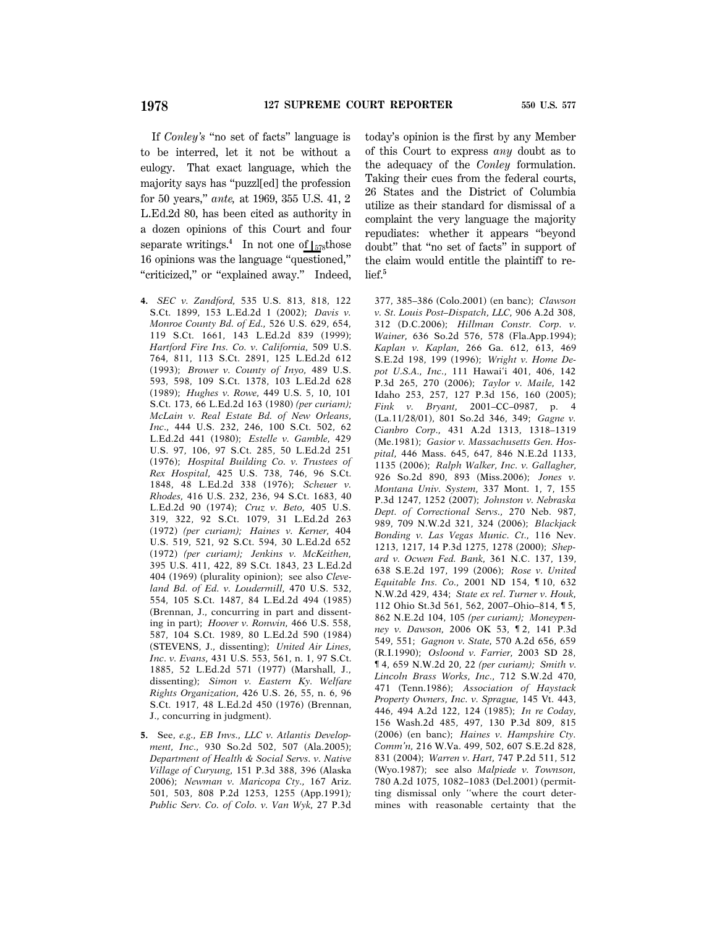If *Conley's* "no set of facts" language is to be interred, let it not be without a eulogy. That exact language, which the majority says has ''puzzl[ed] the profession for 50 years,'' *ante,* at 1969, 355 U.S. 41, 2 L.Ed.2d 80, has been cited as authority in a dozen opinions of this Court and four separate writings.<sup>4</sup> In not one of  $\mathsf{I}_{578}$  those 16 opinions was the language ''questioned,'' "criticized," or "explained away." Indeed,

- **4.** *SEC v. Zandford,* 535 U.S. 813, 818, 122 S.Ct. 1899, 153 L.Ed.2d 1 (2002); *Davis v. Monroe County Bd. of Ed.,* 526 U.S. 629, 654, 119 S.Ct. 1661, 143 L.Ed.2d 839 (1999); *Hartford Fire Ins. Co. v. California,* 509 U.S. 764, 811, 113 S.Ct. 2891, 125 L.Ed.2d 612 (1993); *Brower v. County of Inyo,* 489 U.S. 593, 598, 109 S.Ct. 1378, 103 L.Ed.2d 628 (1989); *Hughes v. Rowe,* 449 U.S. 5, 10, 101 S.Ct. 173, 66 L.Ed.2d 163 (1980) *(per curiam); McLain v. Real Estate Bd. of New Orleans, Inc.,* 444 U.S. 232, 246, 100 S.Ct. 502, 62 L.Ed.2d 441 (1980); *Estelle v. Gamble,* 429 U.S. 97, 106, 97 S.Ct. 285, 50 L.Ed.2d 251 (1976); *Hospital Building Co. v. Trustees of Rex Hospital,* 425 U.S. 738, 746, 96 S.Ct. 1848, 48 L.Ed.2d 338 (1976); *Scheuer v. Rhodes,* 416 U.S. 232, 236, 94 S.Ct. 1683, 40 L.Ed.2d 90 (1974); *Cruz v. Beto,* 405 U.S. 319, 322, 92 S.Ct. 1079, 31 L.Ed.2d 263 (1972) *(per curiam); Haines v. Kerner,* 404 U.S. 519, 521, 92 S.Ct. 594, 30 L.Ed.2d 652 (1972) *(per curiam); Jenkins v. McKeithen,* 395 U.S. 411, 422, 89 S.Ct. 1843, 23 L.Ed.2d 404 (1969) (plurality opinion); see also *Cleveland Bd. of Ed. v. Loudermill,* 470 U.S. 532, 554, 105 S.Ct. 1487, 84 L.Ed.2d 494 (1985) (Brennan, J., concurring in part and dissenting in part); *Hoover v. Ronwin,* 466 U.S. 558, 587, 104 S.Ct. 1989, 80 L.Ed.2d 590 (1984) (STEVENS, J., dissenting); *United Air Lines, Inc. v. Evans,* 431 U.S. 553, 561, n. 1, 97 S.Ct. 1885, 52 L.Ed.2d 571 (1977) (Marshall, J., dissenting); *Simon v. Eastern Ky. Welfare Rights Organization,* 426 U.S. 26, 55, n. 6, 96 S.Ct. 1917, 48 L.Ed.2d 450 (1976) (Brennan, J., concurring in judgment).
- **5.** See, *e.g., EB Invs., LLC v. Atlantis Development, Inc.,* 930 So.2d 502, 507 (Ala.2005); *Department of Health & Social Servs. v. Native Village of Curyung,* 151 P.3d 388, 396 (Alaska 2006); *Newman v. Maricopa Cty.,* 167 Ariz. 501, 503, 808 P.2d 1253, 1255 (App.1991)*; Public Serv. Co. of Colo. v. Van Wyk,* 27 P.3d

today's opinion is the first by any Member of this Court to express *any* doubt as to the adequacy of the *Conley* formulation. Taking their cues from the federal courts, 26 States and the District of Columbia utilize as their standard for dismissal of a complaint the very language the majority repudiates: whether it appears ''beyond doubt'' that ''no set of facts'' in support of the claim would entitle the plaintiff to relief.**<sup>5</sup>**

377, 385–386 (Colo.2001) (en banc); *Clawson v. St. Louis Post–Dispatch, LLC,* 906 A.2d 308, 312 (D.C.2006); *Hillman Constr. Corp. v. Wainer,* 636 So.2d 576, 578 (Fla.App.1994); *Kaplan v. Kaplan,* 266 Ga. 612, 613, 469 S.E.2d 198, 199 (1996); *Wright v. Home Depot U.S.A., Inc.*, 111 Hawai'i 401, 406, 142 P.3d 265, 270 (2006); *Taylor v. Maile,* 142 Idaho 253, 257, 127 P.3d 156, 160 (2005); *Fink v. Bryant,* 2001–CC–0987, p. 4 (La.11/28/01), 801 So.2d 346, 349; *Gagne v. Cianbro Corp.,* 431 A.2d 1313, 1318–1319 (Me.1981); *Gasior v. Massachusetts Gen. Hospital,* 446 Mass. 645, 647, 846 N.E.2d 1133, 1135 (2006); *Ralph Walker, Inc. v. Gallagher,* 926 So.2d 890, 893 (Miss.2006); *Jones v. Montana Univ. System,* 337 Mont. 1, 7, 155 P.3d 1247, 1252 (2007); *Johnston v. Nebraska Dept. of Correctional Servs.,* 270 Neb. 987, 989, 709 N.W.2d 321, 324 (2006); *Blackjack Bonding v. Las Vegas Munic. Ct.,* 116 Nev. 1213, 1217, 14 P.3d 1275, 1278 (2000); *Shepard v. Ocwen Fed. Bank,* 361 N.C. 137, 139, 638 S.E.2d 197, 199 (2006); *Rose v. United Equitable Ins. Co.,* 2001 ND 154, ¶ 10, 632 N.W.2d 429, 434; *State ex rel. Turner v. Houk,* 112 Ohio St.3d 561, 562, 2007–Ohio–814, ¶ 5, 862 N.E.2d 104, 105 *(per curiam); Moneypenney v. Dawson,* 2006 OK 53, ¶ 2, 141 P.3d 549, 551; *Gagnon v. State,* 570 A.2d 656, 659 (R.I.1990); *Osloond v. Farrier,* 2003 SD 28, ¶ 4, 659 N.W.2d 20, 22 *(per curiam); Smith v. Lincoln Brass Works, Inc.,* 712 S.W.2d 470, 471 (Tenn.1986); *Association of Haystack Property Owners, Inc. v. Sprague,* 145 Vt. 443, 446, 494 A.2d 122, 124 (1985); *In re Coday,* 156 Wash.2d 485, 497, 130 P.3d 809, 815 (2006) (en banc); *Haines v. Hampshire Cty. Comm'n,* 216 W.Va. 499, 502, 607 S.E.2d 828, 831 (2004); *Warren v. Hart,* 747 P.2d 511, 512 (Wyo.1987); see also *Malpiede v. Townson,* 780 A.2d 1075, 1082–1083 (Del.2001) (permitting dismissal only ''where the court determines with reasonable certainty that the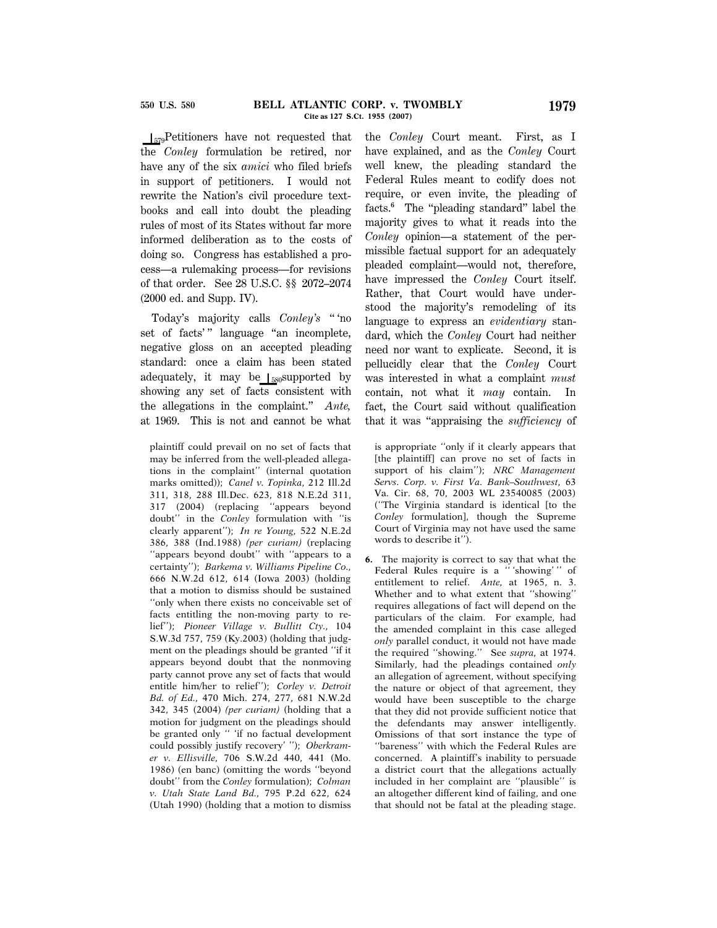$\left| \right|_{579}$ Petitioners have not requested that the *Conley* formulation be retired, nor have any of the six *amici* who filed briefs in support of petitioners. I would not rewrite the Nation's civil procedure textbooks and call into doubt the pleading rules of most of its States without far more informed deliberation as to the costs of doing so. Congress has established a process—a rulemaking process—for revisions of that order. See 28 U.S.C. §§ 2072–2074 (2000 ed. and Supp. IV).

Today's majority calls *Conley's* '' 'no set of facts'" language "an incomplete, negative gloss on an accepted pleading standard: once a claim has been stated adequately, it may be  $\left| \right|_{580}$ supported by showing any set of facts consistent with the allegations in the complaint.'' *Ante,* at 1969. This is not and cannot be what

plaintiff could prevail on no set of facts that may be inferred from the well-pleaded allegations in the complaint'' (internal quotation marks omitted)); *Canel v. Topinka,* 212 Ill.2d 311, 318, 288 Ill.Dec. 623, 818 N.E.2d 311, 317 (2004) (replacing ''appears beyond doubt'' in the *Conley* formulation with ''is clearly apparent''); *In re Young,* 522 N.E.2d 386, 388 (Ind.1988) *(per curiam)* (replacing ''appears beyond doubt'' with ''appears to a certainty''); *Barkema v. Williams Pipeline Co.,* 666 N.W.2d 612, 614 (Iowa 2003) (holding that a motion to dismiss should be sustained ''only when there exists no conceivable set of facts entitling the non-moving party to relief''); *Pioneer Village v. Bullitt Cty.,* 104 S.W.3d 757, 759 (Ky.2003) (holding that judgment on the pleadings should be granted ''if it appears beyond doubt that the nonmoving party cannot prove any set of facts that would entitle him/her to relief''); *Corley v. Detroit Bd. of Ed.,* 470 Mich. 274, 277, 681 N.W.2d 342, 345 (2004) *(per curiam)* (holding that a motion for judgment on the pleadings should be granted only '' 'if no factual development could possibly justify recovery' ''); *Oberkramer v. Ellisville,* 706 S.W.2d 440, 441 (Mo. 1986) (en banc) (omitting the words ''beyond doubt'' from the *Conley* formulation); *Colman v. Utah State Land Bd.,* 795 P.2d 622, 624 (Utah 1990) (holding that a motion to dismiss

the *Conley* Court meant. First, as I have explained, and as the *Conley* Court well knew, the pleading standard the Federal Rules meant to codify does not require, or even invite, the pleading of facts.<sup>6</sup> The "pleading standard" label the majority gives to what it reads into the *Conley* opinion—a statement of the permissible factual support for an adequately pleaded complaint—would not, therefore, have impressed the *Conley* Court itself. Rather, that Court would have understood the majority's remodeling of its language to express an *evidentiary* standard, which the *Conley* Court had neither need nor want to explicate. Second, it is pellucidly clear that the *Conley* Court was interested in what a complaint *must* contain, not what it *may* contain. In fact, the Court said without qualification that it was ''appraising the *sufficiency* of

is appropriate ''only if it clearly appears that [the plaintiff] can prove no set of facts in support of his claim''); *NRC Management Servs. Corp. v. First Va. Bank–Southwest,* 63 Va. Cir. 68, 70, 2003 WL 23540085 (2003) (''The Virginia standard is identical [to the *Conley* formulation], though the Supreme Court of Virginia may not have used the same words to describe it'').

**6.** The majority is correct to say that what the Federal Rules require is a '' 'showing' '' of entitlement to relief. *Ante,* at 1965, n. 3. Whether and to what extent that ''showing'' requires allegations of fact will depend on the particulars of the claim. For example, had the amended complaint in this case alleged *only* parallel conduct, it would not have made the required ''showing.'' See *supra,* at 1974. Similarly, had the pleadings contained *only* an allegation of agreement, without specifying the nature or object of that agreement, they would have been susceptible to the charge that they did not provide sufficient notice that the defendants may answer intelligently. Omissions of that sort instance the type of ''bareness'' with which the Federal Rules are concerned. A plaintiff's inability to persuade a district court that the allegations actually included in her complaint are ''plausible'' is an altogether different kind of failing, and one that should not be fatal at the pleading stage.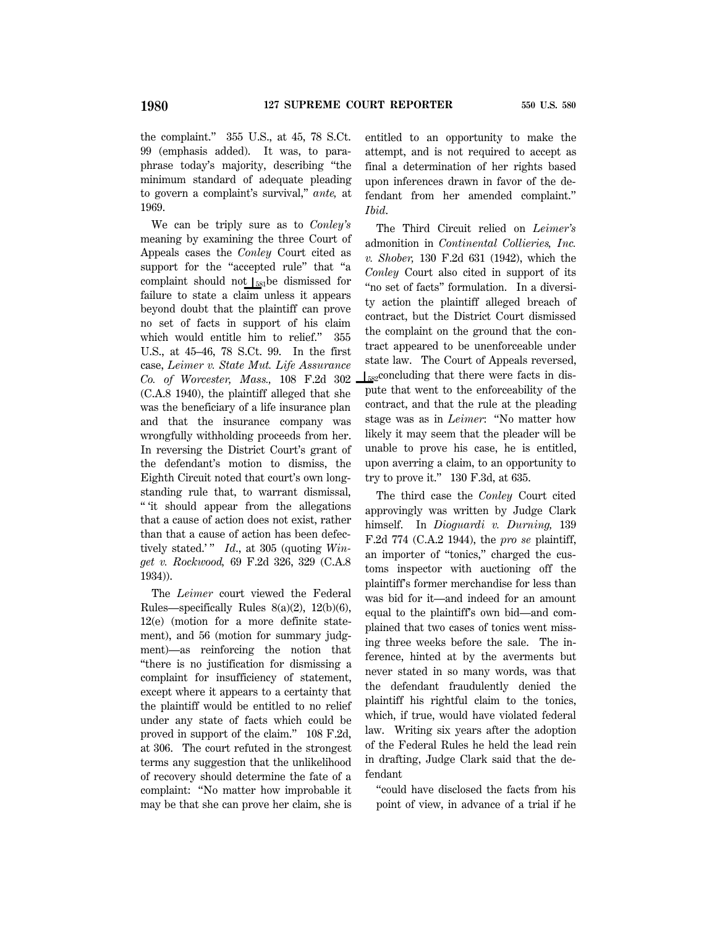the complaint.'' 355 U.S., at 45, 78 S.Ct. 99 (emphasis added). It was, to paraphrase today's majority, describing ''the minimum standard of adequate pleading to govern a complaint's survival,'' *ante,* at 1969.

We can be triply sure as to *Conley's* meaning by examining the three Court of Appeals cases the *Conley* Court cited as support for the "accepted rule" that "a complaint should not  $\mathcal{L}_{581}$ be dismissed for failure to state a claim unless it appears beyond doubt that the plaintiff can prove no set of facts in support of his claim which would entitle him to relief.'' 355 U.S., at 45–46, 78 S.Ct. 99. In the first case, *Leimer v. State Mut. Life Assurance Co. of Worcester, Mass.,* 108 F.2d 302 (C.A.8 1940), the plaintiff alleged that she was the beneficiary of a life insurance plan and that the insurance company was wrongfully withholding proceeds from her. In reversing the District Court's grant of the defendant's motion to dismiss, the Eighth Circuit noted that court's own longstanding rule that, to warrant dismissal, '' 'it should appear from the allegations that a cause of action does not exist, rather than that a cause of action has been defectively stated.'" *Id.*, at 305 (quoting *Winget v. Rockwood,* 69 F.2d 326, 329 (C.A.8 1934)).

The *Leimer* court viewed the Federal Rules—specifically Rules  $8(a)(2)$ ,  $12(b)(6)$ , 12(e) (motion for a more definite statement), and 56 (motion for summary judgment)—as reinforcing the notion that ''there is no justification for dismissing a complaint for insufficiency of statement, except where it appears to a certainty that the plaintiff would be entitled to no relief under any state of facts which could be proved in support of the claim.'' 108 F.2d, at 306. The court refuted in the strongest terms any suggestion that the unlikelihood of recovery should determine the fate of a complaint: ''No matter how improbable it may be that she can prove her claim, she is entitled to an opportunity to make the attempt, and is not required to accept as final a determination of her rights based upon inferences drawn in favor of the defendant from her amended complaint.'' *Ibid*.

The Third Circuit relied on *Leimer's* admonition in *Continental Collieries, Inc. v. Shober,* 130 F.2d 631 (1942), which the *Conley* Court also cited in support of its ''no set of facts'' formulation. In a diversity action the plaintiff alleged breach of contract, but the District Court dismissed the complaint on the ground that the contract appeared to be unenforceable under state law. The Court of Appeals reversed,  $\frac{1}{582}$ concluding that there were facts in dispute that went to the enforceability of the contract, and that the rule at the pleading stage was as in *Leimer*: ''No matter how likely it may seem that the pleader will be unable to prove his case, he is entitled, upon averring a claim, to an opportunity to try to prove it.'' 130 F.3d, at 635.

The third case the *Conley* Court cited approvingly was written by Judge Clark himself. In *Dioguardi v. Durning,* 139 F.2d 774 (C.A.2 1944), the *pro se* plaintiff, an importer of ''tonics,'' charged the customs inspector with auctioning off the plaintiff's former merchandise for less than was bid for it—and indeed for an amount equal to the plaintiff's own bid—and complained that two cases of tonics went missing three weeks before the sale. The inference, hinted at by the averments but never stated in so many words, was that the defendant fraudulently denied the plaintiff his rightful claim to the tonics, which, if true, would have violated federal law. Writing six years after the adoption of the Federal Rules he held the lead rein in drafting, Judge Clark said that the defendant

''could have disclosed the facts from his point of view, in advance of a trial if he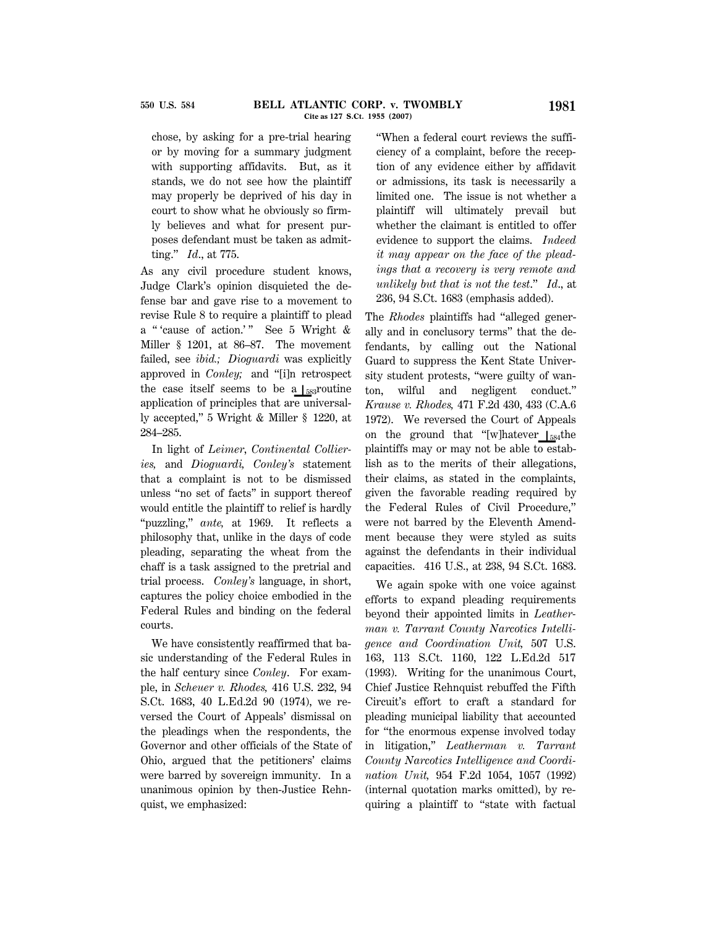chose, by asking for a pre-trial hearing or by moving for a summary judgment with supporting affidavits. But, as it stands, we do not see how the plaintiff may properly be deprived of his day in court to show what he obviously so firmly believes and what for present purposes defendant must be taken as admitting.'' *Id*., at 775.

As any civil procedure student knows, Judge Clark's opinion disquieted the defense bar and gave rise to a movement to revise Rule 8 to require a plaintiff to plead a "'cause of action.'" See 5 Wright & Miller § 1201, at 86–87. The movement failed, see *ibid.; Dioguardi* was explicitly approved in *Conley;* and ''[i]n retrospect the case itself seems to be a  $\frac{1}{583}$  routine application of principles that are universally accepted,'' 5 Wright & Miller § 1220, at 284–285.

In light of *Leimer*, *Continental Collieries,* and *Dioguardi, Conley's* statement that a complaint is not to be dismissed unless ''no set of facts'' in support thereof would entitle the plaintiff to relief is hardly "puzzling," ante, at 1969. It reflects a philosophy that, unlike in the days of code pleading, separating the wheat from the chaff is a task assigned to the pretrial and trial process. *Conley's* language, in short, captures the policy choice embodied in the Federal Rules and binding on the federal courts.

We have consistently reaffirmed that basic understanding of the Federal Rules in the half century since *Conley*. For example, in *Scheuer v. Rhodes,* 416 U.S. 232, 94 S.Ct. 1683, 40 L.Ed.2d 90 (1974), we reversed the Court of Appeals' dismissal on the pleadings when the respondents, the Governor and other officials of the State of Ohio, argued that the petitioners' claims were barred by sovereign immunity. In a unanimous opinion by then-Justice Rehnquist, we emphasized:

''When a federal court reviews the sufficiency of a complaint, before the reception of any evidence either by affidavit or admissions, its task is necessarily a limited one. The issue is not whether a plaintiff will ultimately prevail but whether the claimant is entitled to offer evidence to support the claims. *Indeed it may appear on the face of the pleadings that a recovery is very remote and unlikely but that is not the test*.'' *Id*., at 236, 94 S.Ct. 1683 (emphasis added).

The *Rhodes* plaintiffs had ''alleged generally and in conclusory terms'' that the defendants, by calling out the National Guard to suppress the Kent State University student protests, ''were guilty of wanton, wilful and negligent conduct.'' *Krause v. Rhodes,* 471 F.2d 430, 433 (C.A.6 1972). We reversed the Court of Appeals on the ground that "[w]hatever  $\frac{1}{584}$ the plaintiffs may or may not be able to establish as to the merits of their allegations, their claims, as stated in the complaints, given the favorable reading required by the Federal Rules of Civil Procedure,'' were not barred by the Eleventh Amendment because they were styled as suits against the defendants in their individual capacities. 416 U.S., at 238, 94 S.Ct. 1683.

We again spoke with one voice against efforts to expand pleading requirements beyond their appointed limits in *Leatherman v. Tarrant County Narcotics Intelligence and Coordination Unit,* 507 U.S. 163, 113 S.Ct. 1160, 122 L.Ed.2d 517 (1993). Writing for the unanimous Court, Chief Justice Rehnquist rebuffed the Fifth Circuit's effort to craft a standard for pleading municipal liability that accounted for ''the enormous expense involved today in litigation,'' *Leatherman v. Tarrant County Narcotics Intelligence and Coordination Unit,* 954 F.2d 1054, 1057 (1992) (internal quotation marks omitted), by requiring a plaintiff to ''state with factual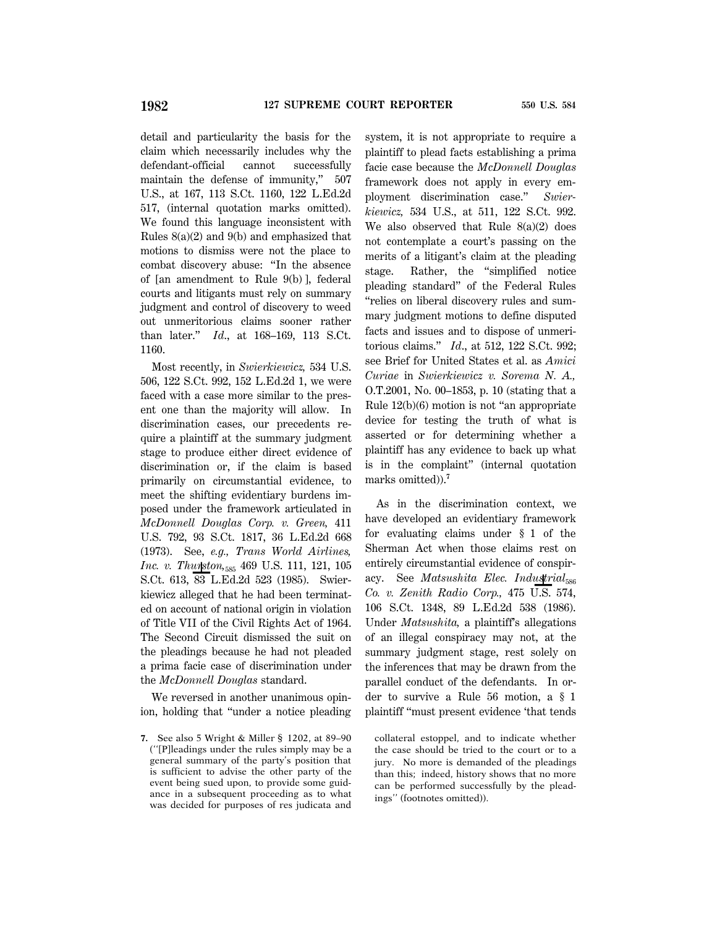detail and particularity the basis for the claim which necessarily includes why the defendant-official cannot successfully maintain the defense of immunity," 507 U.S., at 167, 113 S.Ct. 1160, 122 L.Ed.2d 517, (internal quotation marks omitted). We found this language inconsistent with Rules 8(a)(2) and 9(b) and emphasized that motions to dismiss were not the place to combat discovery abuse: ''In the absence of [an amendment to Rule 9(b) ], federal courts and litigants must rely on summary judgment and control of discovery to weed out unmeritorious claims sooner rather than later.'' *Id*., at 168–169, 113 S.Ct. 1160.

Most recently, in *Swierkiewicz,* 534 U.S. 506, 122 S.Ct. 992, 152 L.Ed.2d 1, we were faced with a case more similar to the present one than the majority will allow. In discrimination cases, our precedents require a plaintiff at the summary judgment stage to produce either direct evidence of discrimination or, if the claim is based primarily on circumstantial evidence, to meet the shifting evidentiary burdens imposed under the framework articulated in *McDonnell Douglas Corp. v. Green,* 411 U.S. 792, 93 S.Ct. 1817, 36 L.Ed.2d 668 (1973). See, *e.g., Trans World Airlines, Inc. v. Thurston*,<sub>585</sub> 469 U.S. 111, 121, 105 S.Ct. 613, 83 L.Ed.2d 523 (1985). Swierkiewicz alleged that he had been terminated on account of national origin in violation of Title VII of the Civil Rights Act of 1964. The Second Circuit dismissed the suit on the pleadings because he had not pleaded a prima facie case of discrimination under the *McDonnell Douglas* standard.

We reversed in another unanimous opinion, holding that ''under a notice pleading system, it is not appropriate to require a plaintiff to plead facts establishing a prima facie case because the *McDonnell Douglas* framework does not apply in every employment discrimination case.'' *Swierkiewicz,* 534 U.S., at 511, 122 S.Ct. 992. We also observed that Rule  $8(a)(2)$  does not contemplate a court's passing on the merits of a litigant's claim at the pleading stage. Rather, the "simplified notice pleading standard'' of the Federal Rules ''relies on liberal discovery rules and summary judgment motions to define disputed facts and issues and to dispose of unmeritorious claims.'' *Id*., at 512, 122 S.Ct. 992; see Brief for United States et al. as *Amici Curiae* in *Swierkiewicz v. Sorema N. A.,* O.T.2001, No. 00–1853, p. 10 (stating that a Rule  $12(b)(6)$  motion is not "an appropriate" device for testing the truth of what is asserted or for determining whether a plaintiff has any evidence to back up what is in the complaint'' (internal quotation marks omitted)).**<sup>7</sup>**

As in the discrimination context, we have developed an evidentiary framework for evaluating claims under § 1 of the Sherman Act when those claims rest on entirely circumstantial evidence of conspiracy. See *Matsushita Elec. Industrial*<sub>586</sub> *Co. v. Zenith Radio Corp.,* 475 U.S. 574, 106 S.Ct. 1348, 89 L.Ed.2d 538 (1986). Under *Matsushita,* a plaintiff's allegations of an illegal conspiracy may not, at the summary judgment stage, rest solely on the inferences that may be drawn from the parallel conduct of the defendants. In order to survive a Rule 56 motion, a § 1 plaintiff ''must present evidence 'that tends

**<sup>7.</sup>** See also 5 Wright & Miller § 1202, at 89–90 (''[P]leadings under the rules simply may be a general summary of the party's position that is sufficient to advise the other party of the event being sued upon, to provide some guidance in a subsequent proceeding as to what was decided for purposes of res judicata and

collateral estoppel, and to indicate whether the case should be tried to the court or to a jury. No more is demanded of the pleadings than this; indeed, history shows that no more can be performed successfully by the pleadings'' (footnotes omitted)).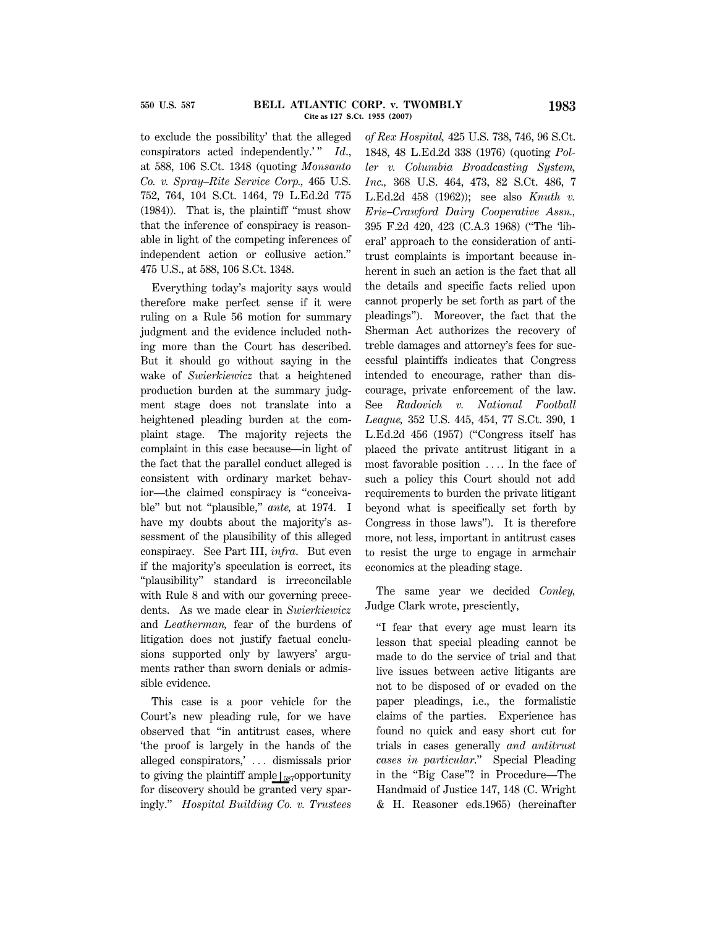to exclude the possibility' that the alleged conspirators acted independently.'" *Id.*, at 588, 106 S.Ct. 1348 (quoting *Monsanto Co. v. Spray–Rite Service Corp.,* 465 U.S. 752, 764, 104 S.Ct. 1464, 79 L.Ed.2d 775 (1984)). That is, the plaintiff ''must show that the inference of conspiracy is reasonable in light of the competing inferences of independent action or collusive action.'' 475 U.S., at 588, 106 S.Ct. 1348.

Everything today's majority says would therefore make perfect sense if it were ruling on a Rule 56 motion for summary judgment and the evidence included nothing more than the Court has described. But it should go without saying in the wake of *Swierkiewicz* that a heightened production burden at the summary judgment stage does not translate into a heightened pleading burden at the complaint stage. The majority rejects the complaint in this case because—in light of the fact that the parallel conduct alleged is consistent with ordinary market behavior—the claimed conspiracy is ''conceivable'' but not ''plausible,'' *ante,* at 1974. I have my doubts about the majority's assessment of the plausibility of this alleged conspiracy. See Part III, *infra*. But even if the majority's speculation is correct, its ''plausibility'' standard is irreconcilable with Rule 8 and with our governing precedents. As we made clear in *Swierkiewicz* and *Leatherman,* fear of the burdens of litigation does not justify factual conclusions supported only by lawyers' arguments rather than sworn denials or admissible evidence.

This case is a poor vehicle for the Court's new pleading rule, for we have observed that ''in antitrust cases, where 'the proof is largely in the hands of the alleged conspirators,' ... dismissals prior to giving the plaintiff ample  $\frac{1}{587}$ opportunity for discovery should be granted very sparingly.'' *Hospital Building Co. v. Trustees* *of Rex Hospital,* 425 U.S. 738, 746, 96 S.Ct. 1848, 48 L.Ed.2d 338 (1976) (quoting *Poller v. Columbia Broadcasting System, Inc.,* 368 U.S. 464, 473, 82 S.Ct. 486, 7 L.Ed.2d 458 (1962)); see also *Knuth v. Erie–Crawford Dairy Cooperative Assn.,* 395 F.2d 420, 423 (C.A.3 1968) (''The 'liberal' approach to the consideration of antitrust complaints is important because inherent in such an action is the fact that all the details and specific facts relied upon cannot properly be set forth as part of the pleadings''). Moreover, the fact that the Sherman Act authorizes the recovery of treble damages and attorney's fees for successful plaintiffs indicates that Congress intended to encourage, rather than discourage, private enforcement of the law. See *Radovich v. National Football League,* 352 U.S. 445, 454, 77 S.Ct. 390, 1 L.Ed.2d 456 (1957) (''Congress itself has placed the private antitrust litigant in a most favorable position .... In the face of such a policy this Court should not add requirements to burden the private litigant beyond what is specifically set forth by Congress in those laws''). It is therefore more, not less, important in antitrust cases to resist the urge to engage in armchair economics at the pleading stage.

The same year we decided *Conley,* Judge Clark wrote, presciently,

''I fear that every age must learn its lesson that special pleading cannot be made to do the service of trial and that live issues between active litigants are not to be disposed of or evaded on the paper pleadings, i.e., the formalistic claims of the parties. Experience has found no quick and easy short cut for trials in cases generally *and antitrust cases in particular*.'' Special Pleading in the ''Big Case''? in Procedure—The Handmaid of Justice 147, 148 (C. Wright & H. Reasoner eds.1965) (hereinafter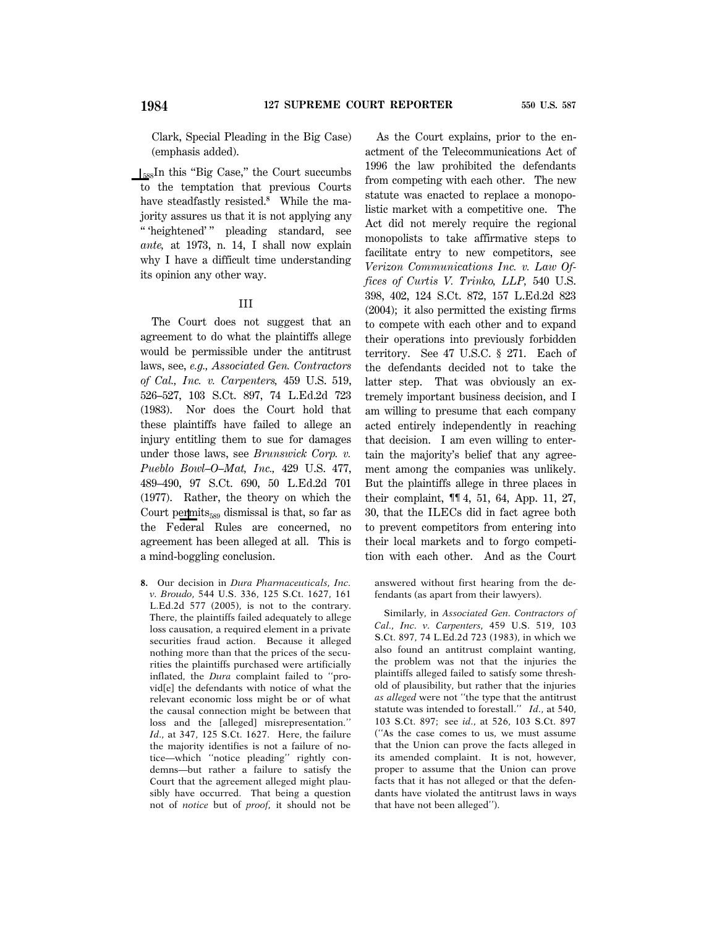Clark, Special Pleading in the Big Case) (emphasis added).

 $\frac{1}{588}$ In this "Big Case," the Court succumbs to the temptation that previous Courts have steadfastly resisted.**<sup>8</sup>** While the majority assures us that it is not applying any '' 'heightened' '' pleading standard, see *ante,* at 1973, n. 14, I shall now explain why I have a difficult time understanding its opinion any other way.

#### III

The Court does not suggest that an agreement to do what the plaintiffs allege would be permissible under the antitrust laws, see, *e.g., Associated Gen. Contractors of Cal., Inc. v. Carpenters,* 459 U.S. 519, 526–527, 103 S.Ct. 897, 74 L.Ed.2d 723 (1983). Nor does the Court hold that these plaintiffs have failed to allege an injury entitling them to sue for damages under those laws, see *Brunswick Corp. v. Pueblo Bowl–O–Mat, Inc.,* 429 U.S. 477, 489–490, 97 S.Ct. 690, 50 L.Ed.2d 701 (1977). Rather, the theory on which the Court permits $_{589}$  dismissal is that, so far as the Federal Rules are concerned, no agreement has been alleged at all. This is a mind-boggling conclusion.

**8.** Our decision in *Dura Pharmaceuticals, Inc. v. Broudo,* 544 U.S. 336, 125 S.Ct. 1627, 161 L.Ed.2d 577 (2005), is not to the contrary. There, the plaintiffs failed adequately to allege loss causation, a required element in a private securities fraud action. Because it alleged nothing more than that the prices of the securities the plaintiffs purchased were artificially inflated, the *Dura* complaint failed to ''provid[e] the defendants with notice of what the relevant economic loss might be or of what the causal connection might be between that loss and the [alleged] misrepresentation.'' *Id*., at 347, 125 S.Ct. 1627. Here, the failure the majority identifies is not a failure of notice—which ''notice pleading'' rightly condemns—but rather a failure to satisfy the Court that the agreement alleged might plausibly have occurred. That being a question not of *notice* but of *proof,* it should not be

As the Court explains, prior to the enactment of the Telecommunications Act of 1996 the law prohibited the defendants from competing with each other. The new statute was enacted to replace a monopolistic market with a competitive one. The Act did not merely require the regional monopolists to take affirmative steps to facilitate entry to new competitors, see *Verizon Communications Inc. v. Law Offices of Curtis V. Trinko, LLP,* 540 U.S. 398, 402, 124 S.Ct. 872, 157 L.Ed.2d 823 (2004); it also permitted the existing firms to compete with each other and to expand their operations into previously forbidden territory. See 47 U.S.C. § 271. Each of the defendants decided not to take the latter step. That was obviously an extremely important business decision, and I am willing to presume that each company acted entirely independently in reaching that decision. I am even willing to entertain the majority's belief that any agreement among the companies was unlikely. But the plaintiffs allege in three places in their complaint, ¶¶ 4, 51, 64, App. 11, 27, 30, that the ILECs did in fact agree both to prevent competitors from entering into their local markets and to forgo competition with each other. And as the Court

answered without first hearing from the defendants (as apart from their lawyers).

Similarly, in *Associated Gen. Contractors of Cal., Inc. v. Carpenters,* 459 U.S. 519, 103 S.Ct. 897, 74 L.Ed.2d 723 (1983), in which we also found an antitrust complaint wanting, the problem was not that the injuries the plaintiffs alleged failed to satisfy some threshold of plausibility, but rather that the injuries *as alleged* were not ''the type that the antitrust statute was intended to forestall.'' *Id*., at 540, 103 S.Ct. 897; see *id*., at 526, 103 S.Ct. 897 (''As the case comes to us, we must assume that the Union can prove the facts alleged in its amended complaint. It is not, however, proper to assume that the Union can prove facts that it has not alleged or that the defendants have violated the antitrust laws in ways that have not been alleged'').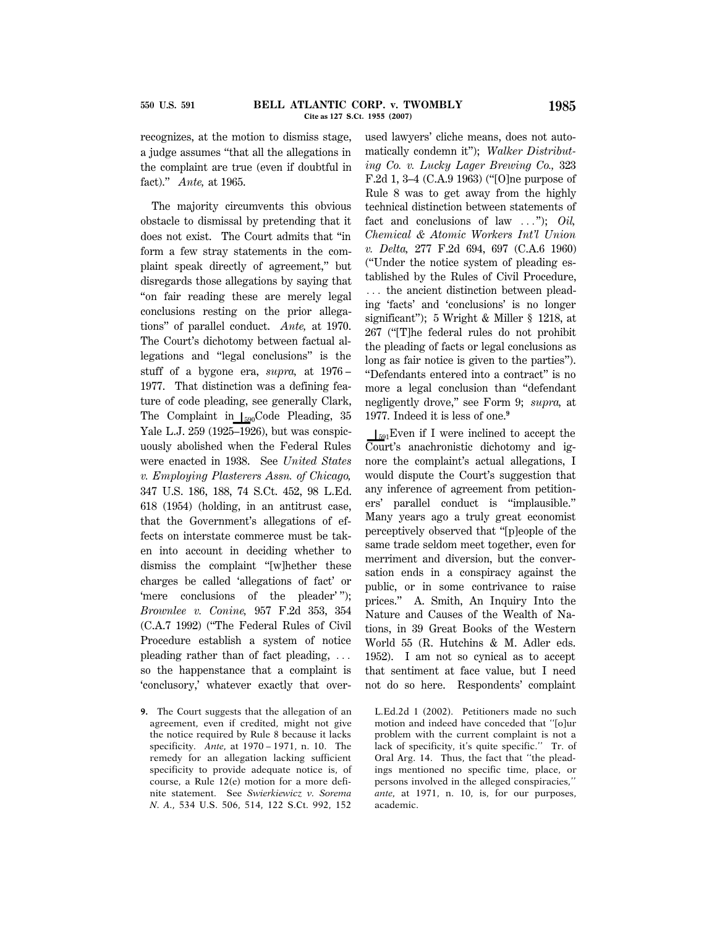recognizes, at the motion to dismiss stage, a judge assumes ''that all the allegations in the complaint are true (even if doubtful in fact).'' *Ante,* at 1965.

The majority circumvents this obvious obstacle to dismissal by pretending that it does not exist. The Court admits that ''in form a few stray statements in the complaint speak directly of agreement,'' but disregards those allegations by saying that ''on fair reading these are merely legal conclusions resting on the prior allegations'' of parallel conduct. *Ante,* at 1970. The Court's dichotomy between factual allegations and ''legal conclusions'' is the stuff of a bygone era, *supra,* at 1976 – 1977. That distinction was a defining feature of code pleading, see generally Clark, The Complaint in  $I_{590}$ Code Pleading, 35 Yale L.J. 259 (1925–1926), but was conspicuously abolished when the Federal Rules were enacted in 1938. See *United States v. Employing Plasterers Assn. of Chicago,* 347 U.S. 186, 188, 74 S.Ct. 452, 98 L.Ed. 618 (1954) (holding, in an antitrust case, that the Government's allegations of effects on interstate commerce must be taken into account in deciding whether to dismiss the complaint ''[w]hether these charges be called 'allegations of fact' or 'mere conclusions of the pleader'"); *Brownlee v. Conine,* 957 F.2d 353, 354 (C.A.7 1992) (''The Federal Rules of Civil Procedure establish a system of notice pleading rather than of fact pleading,  $\ldots$ so the happenstance that a complaint is 'conclusory,' whatever exactly that over-

**9.** The Court suggests that the allegation of an agreement, even if credited, might not give the notice required by Rule 8 because it lacks specificity. *Ante,* at 1970 – 1971, n. 10. The remedy for an allegation lacking sufficient specificity to provide adequate notice is, of course, a Rule 12(e) motion for a more definite statement. See *Swierkiewicz v. Sorema N. A.,* 534 U.S. 506, 514, 122 S.Ct. 992, 152 used lawyers' cliche means, does not automatically condemn it''); *Walker Distributing Co. v. Lucky Lager Brewing Co.,* 323 F.2d 1, 3–4 (C.A.9 1963) (''[O]ne purpose of Rule 8 was to get away from the highly technical distinction between statements of fact and conclusions of law ..."); *Oil*, *Chemical & Atomic Workers Int'l Union v. Delta,* 277 F.2d 694, 697 (C.A.6 1960) (''Under the notice system of pleading established by the Rules of Civil Procedure, ... the ancient distinction between pleading 'facts' and 'conclusions' is no longer significant''); 5 Wright & Miller § 1218, at 267 (''[T]he federal rules do not prohibit the pleading of facts or legal conclusions as long as fair notice is given to the parties''). ''Defendants entered into a contract'' is no more a legal conclusion than ''defendant negligently drove,'' see Form 9; *supra,* at 1977. Indeed it is less of one.**<sup>9</sup>**

 $I<sub>591</sub>$ Even if I were inclined to accept the Court's anachronistic dichotomy and ignore the complaint's actual allegations, I would dispute the Court's suggestion that any inference of agreement from petitioners' parallel conduct is ''implausible.'' Many years ago a truly great economist perceptively observed that ''[p]eople of the same trade seldom meet together, even for merriment and diversion, but the conversation ends in a conspiracy against the public, or in some contrivance to raise prices.'' A. Smith, An Inquiry Into the Nature and Causes of the Wealth of Nations, in 39 Great Books of the Western World 55 (R. Hutchins & M. Adler eds. 1952). I am not so cynical as to accept that sentiment at face value, but I need not do so here. Respondents' complaint

L.Ed.2d 1 (2002). Petitioners made no such motion and indeed have conceded that ''[o]ur problem with the current complaint is not a lack of specificity, it's quite specific.'' Tr. of Oral Arg. 14. Thus, the fact that ''the pleadings mentioned no specific time, place, or persons involved in the alleged conspiracies,'' *ante,* at 1971, n. 10, is, for our purposes, academic.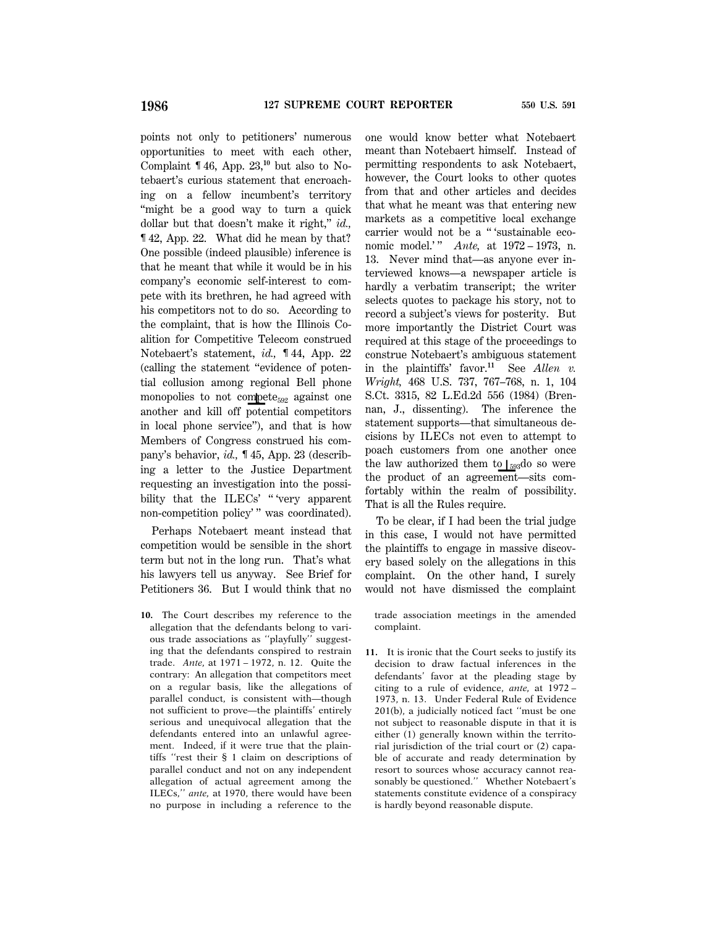points not only to petitioners' numerous opportunities to meet with each other, Complaint ¶ 46, App. 23,**10** but also to Notebaert's curious statement that encroaching on a fellow incumbent's territory "might be a good way to turn a quick dollar but that doesn't make it right,'' *id.,* ¶ 42, App. 22. What did he mean by that? One possible (indeed plausible) inference is that he meant that while it would be in his company's economic self-interest to compete with its brethren, he had agreed with his competitors not to do so. According to the complaint, that is how the Illinois Coalition for Competitive Telecom construed Notebaert's statement, *id.,* ¶ 44, App. 22 (calling the statement ''evidence of potential collusion among regional Bell phone monopolies to not compete<sub>592</sub> against one another and kill off potential competitors in local phone service''), and that is how Members of Congress construed his company's behavior, *id.,* ¶ 45, App. 23 (describing a letter to the Justice Department requesting an investigation into the possibility that the ILECs' "'very apparent non-competition policy' " was coordinated).

Perhaps Notebaert meant instead that competition would be sensible in the short term but not in the long run. That's what his lawyers tell us anyway. See Brief for Petitioners 36. But I would think that no

**10.** The Court describes my reference to the allegation that the defendants belong to various trade associations as ''playfully'' suggesting that the defendants conspired to restrain trade. *Ante,* at 1971 – 1972, n. 12. Quite the contrary: An allegation that competitors meet on a regular basis, like the allegations of parallel conduct, is consistent with—though not sufficient to prove—the plaintiffs' entirely serious and unequivocal allegation that the defendants entered into an unlawful agreement. Indeed, if it were true that the plaintiffs ''rest their § 1 claim on descriptions of parallel conduct and not on any independent allegation of actual agreement among the ILECs,'' *ante,* at 1970, there would have been no purpose in including a reference to the

one would know better what Notebaert meant than Notebaert himself. Instead of permitting respondents to ask Notebaert, however, the Court looks to other quotes from that and other articles and decides that what he meant was that entering new markets as a competitive local exchange carrier would not be a '' 'sustainable economic model.'" *Ante*, at 1972 – 1973, n. 13. Never mind that—as anyone ever interviewed knows—a newspaper article is hardly a verbatim transcript; the writer selects quotes to package his story, not to record a subject's views for posterity. But more importantly the District Court was required at this stage of the proceedings to construe Notebaert's ambiguous statement in the plaintiffs' favor.**<sup>11</sup>** See *Allen v. Wright,* 468 U.S. 737, 767–768, n. 1, 104 S.Ct. 3315, 82 L.Ed.2d 556 (1984) (Brennan, J., dissenting). The inference the statement supports—that simultaneous decisions by ILECs not even to attempt to poach customers from one another once the law authorized them to  $\frac{1}{593}$ do so were the product of an agreement—sits comfortably within the realm of possibility. That is all the Rules require.

To be clear, if I had been the trial judge in this case, I would not have permitted the plaintiffs to engage in massive discovery based solely on the allegations in this complaint. On the other hand, I surely would not have dismissed the complaint

trade association meetings in the amended complaint.

**11.** It is ironic that the Court seeks to justify its decision to draw factual inferences in the defendants' favor at the pleading stage by citing to a rule of evidence, *ante,* at 1972 – 1973, n. 13. Under Federal Rule of Evidence 201(b), a judicially noticed fact ''must be one not subject to reasonable dispute in that it is either (1) generally known within the territorial jurisdiction of the trial court or (2) capable of accurate and ready determination by resort to sources whose accuracy cannot reasonably be questioned.'' Whether Notebaert's statements constitute evidence of a conspiracy is hardly beyond reasonable dispute.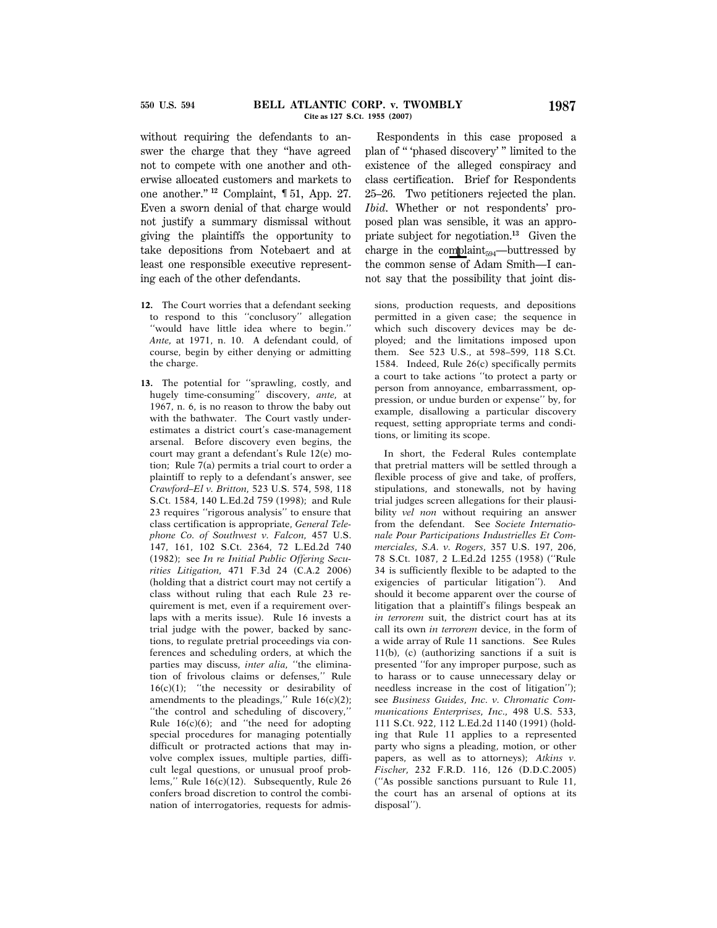without requiring the defendants to answer the charge that they ''have agreed not to compete with one another and otherwise allocated customers and markets to one another.'' **<sup>12</sup>** Complaint, ¶ 51, App. 27. Even a sworn denial of that charge would not justify a summary dismissal without giving the plaintiffs the opportunity to take depositions from Notebaert and at least one responsible executive representing each of the other defendants.

- **12.** The Court worries that a defendant seeking to respond to this ''conclusory'' allegation ''would have little idea where to begin.'' *Ante,* at 1971, n. 10. A defendant could, of course, begin by either denying or admitting the charge.
- **13.** The potential for ''sprawling, costly, and hugely time-consuming'' discovery, *ante,* at 1967, n. 6, is no reason to throw the baby out with the bathwater. The Court vastly underestimates a district court's case-management arsenal. Before discovery even begins, the court may grant a defendant's Rule 12(e) motion; Rule 7(a) permits a trial court to order a plaintiff to reply to a defendant's answer, see *Crawford–El v. Britton,* 523 U.S. 574, 598, 118 S.Ct. 1584, 140 L.Ed.2d 759 (1998); and Rule 23 requires ''rigorous analysis'' to ensure that class certification is appropriate, *General Telephone Co. of Southwest v. Falcon,* 457 U.S. 147, 161, 102 S.Ct. 2364, 72 L.Ed.2d 740 (1982); see *In re Initial Public Offering Securities Litigation,* 471 F.3d 24 (C.A.2 2006) (holding that a district court may not certify a class without ruling that each Rule 23 requirement is met, even if a requirement overlaps with a merits issue). Rule 16 invests a trial judge with the power, backed by sanctions, to regulate pretrial proceedings via conferences and scheduling orders, at which the parties may discuss, *inter alia,* ''the elimination of frivolous claims or defenses,'' Rule 16(c)(1); ''the necessity or desirability of amendments to the pleadings,'' Rule 16(c)(2); ''the control and scheduling of discovery,'' Rule  $16(c)(6)$ ; and "the need for adopting special procedures for managing potentially difficult or protracted actions that may involve complex issues, multiple parties, difficult legal questions, or unusual proof problems,'' Rule 16(c)(12). Subsequently, Rule 26 confers broad discretion to control the combination of interrogatories, requests for admis-

Respondents in this case proposed a plan of '' 'phased discovery' '' limited to the existence of the alleged conspiracy and class certification. Brief for Respondents 25–26. Two petitioners rejected the plan. *Ibid*. Whether or not respondents' proposed plan was sensible, it was an appropriate subject for negotiation.**<sup>13</sup>** Given the charge in the complaint $_{594}$ —buttressed by the common sense of Adam Smith—I cannot say that the possibility that joint dis-

sions, production requests, and depositions permitted in a given case; the sequence in which such discovery devices may be deployed; and the limitations imposed upon them. See 523 U.S., at 598–599, 118 S.Ct. 1584. Indeed, Rule 26(c) specifically permits a court to take actions ''to protect a party or person from annoyance, embarrassment, oppression, or undue burden or expense'' by, for example, disallowing a particular discovery request, setting appropriate terms and conditions, or limiting its scope.

In short, the Federal Rules contemplate that pretrial matters will be settled through a flexible process of give and take, of proffers, stipulations, and stonewalls, not by having trial judges screen allegations for their plausibility *vel non* without requiring an answer from the defendant. See *Societe Internationale Pour Participations Industrielles Et Commerciales, S.A. v. Rogers,* 357 U.S. 197, 206, 78 S.Ct. 1087, 2 L.Ed.2d 1255 (1958) (''Rule 34 is sufficiently flexible to be adapted to the exigencies of particular litigation''). And should it become apparent over the course of litigation that a plaintiff's filings bespeak an *in terrorem* suit, the district court has at its call its own *in terrorem* device, in the form of a wide array of Rule 11 sanctions. See Rules 11(b), (c) (authorizing sanctions if a suit is presented ''for any improper purpose, such as to harass or to cause unnecessary delay or needless increase in the cost of litigation''); see *Business Guides, Inc. v. Chromatic Communications Enterprises, Inc.,* 498 U.S. 533, 111 S.Ct. 922, 112 L.Ed.2d 1140 (1991) (holding that Rule 11 applies to a represented party who signs a pleading, motion, or other papers, as well as to attorneys); *Atkins v. Fischer,* 232 F.R.D. 116, 126 (D.D.C.2005) (''As possible sanctions pursuant to Rule 11, the court has an arsenal of options at its disposal'').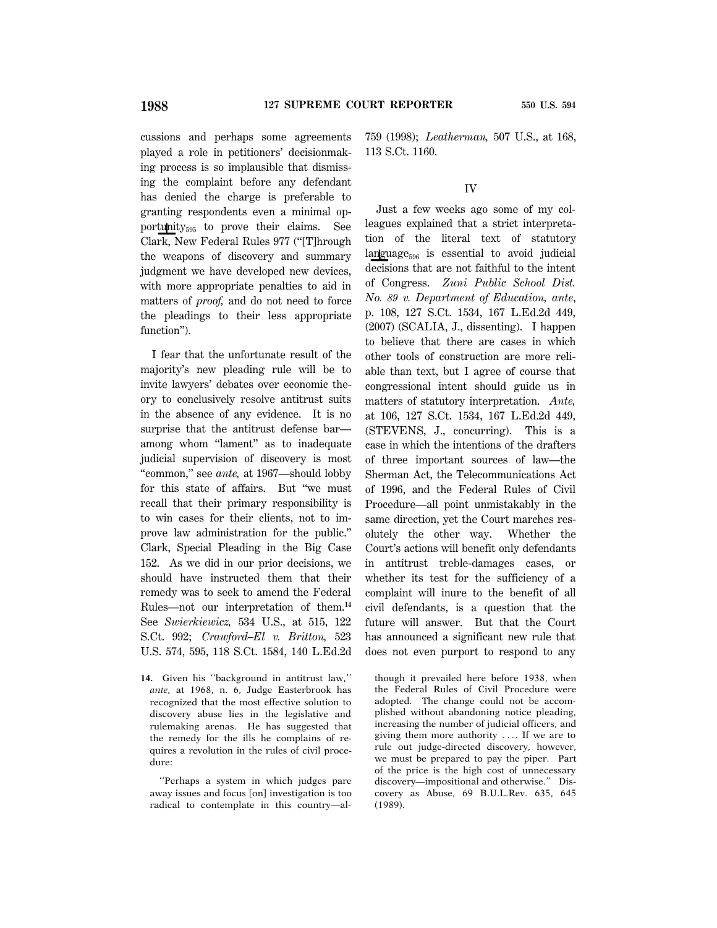cussions and perhaps some agreements played a role in petitioners' decisionmaking process is so implausible that dismissing the complaint before any defendant has denied the charge is preferable to granting respondents even a minimal opportunity $_{595}$  to prove their claims. See Clark, New Federal Rules 977 (''[T]hrough the weapons of discovery and summary judgment we have developed new devices, with more appropriate penalties to aid in matters of *proof,* and do not need to force the pleadings to their less appropriate function").

I fear that the unfortunate result of the majority's new pleading rule will be to invite lawyers' debates over economic theory to conclusively resolve antitrust suits in the absence of any evidence. It is no surprise that the antitrust defense bar among whom "lament" as to inadequate judicial supervision of discovery is most ''common,'' see *ante,* at 1967—should lobby for this state of affairs. But ''we must recall that their primary responsibility is to win cases for their clients, not to improve law administration for the public.'' Clark, Special Pleading in the Big Case 152. As we did in our prior decisions, we should have instructed them that their remedy was to seek to amend the Federal Rules—not our interpretation of them.**<sup>14</sup>** See *Swierkiewicz,* 534 U.S., at 515, 122 S.Ct. 992; *Crawford–El v. Britton,* 523 U.S. 574, 595, 118 S.Ct. 1584, 140 L.Ed.2d

**14.** Given his ''background in antitrust law,'' *ante,* at 1968, n. 6, Judge Easterbrook has recognized that the most effective solution to discovery abuse lies in the legislative and rulemaking arenas. He has suggested that the remedy for the ills he complains of requires a revolution in the rules of civil procedure:

''Perhaps a system in which judges pare away issues and focus [on] investigation is too radical to contemplate in this country—al759 (1998); *Leatherman,* 507 U.S., at 168, 113 S.Ct. 1160.

#### IV

Just a few weeks ago some of my colleagues explained that a strict interpretation of the literal text of statutory language $_{596}$  is essential to avoid judicial decisions that are not faithful to the intent of Congress. *Zuni Public School Dist. No. 89 v. Department of Education, ante*, p. 108, 127 S.Ct. 1534, 167 L.Ed.2d 449, (2007) (SCALIA, J., dissenting). I happen to believe that there are cases in which other tools of construction are more reliable than text, but I agree of course that congressional intent should guide us in matters of statutory interpretation. *Ante,* at 106, 127 S.Ct. 1534, 167 L.Ed.2d 449, (STEVENS, J., concurring). This is a case in which the intentions of the drafters of three important sources of law—the Sherman Act, the Telecommunications Act of 1996, and the Federal Rules of Civil Procedure—all point unmistakably in the same direction, yet the Court marches resolutely the other way. Whether the Court's actions will benefit only defendants in antitrust treble-damages cases, or whether its test for the sufficiency of a complaint will inure to the benefit of all civil defendants, is a question that the future will answer. But that the Court has announced a significant new rule that does not even purport to respond to any

though it prevailed here before 1938, when the Federal Rules of Civil Procedure were adopted. The change could not be accomplished without abandoning notice pleading, increasing the number of judicial officers, and giving them more authority .... If we are to rule out judge-directed discovery, however, we must be prepared to pay the piper. Part of the price is the high cost of unnecessary discovery—impositional and otherwise.'' Discovery as Abuse, 69 B.U.L.Rev. 635, 645 (1989).